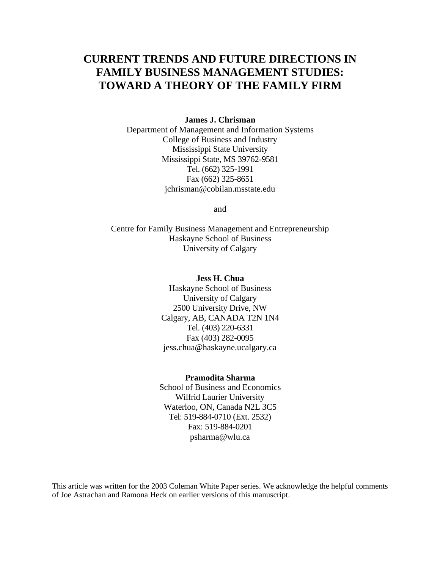# **CURRENT TRENDS AND FUTURE DIRECTIONS IN FAMILY BUSINESS MANAGEMENT STUDIES: TOWARD A THEORY OF THE FAMILY FIRM**

#### **James J. Chrisman**

Department of Management and Information Systems College of Business and Industry Mississippi State University Mississippi State, MS 39762-9581 Tel. (662) 325-1991 Fax (662) 325-8651 jchrisman@cobilan.msstate.edu

and

Centre for Family Business Management and Entrepreneurship Haskayne School of Business University of Calgary

### **Jess H. Chua**

Haskayne School of Business University of Calgary 2500 University Drive, NW Calgary, AB, CANADA T2N 1N4 Tel. (403) 220-6331 Fax (403) 282-0095 jess.chua@haskayne.ucalgary.ca

#### **Pramodita Sharma**

School of Business and Economics Wilfrid Laurier University Waterloo, ON, Canada N2L 3C5 Tel: 519-884-0710 (Ext. 2532) Fax: 519-884-0201 psharma@wlu.ca

This article was written for the 2003 Coleman White Paper series. We acknowledge the helpful comments of Joe Astrachan and Ramona Heck on earlier versions of this manuscript.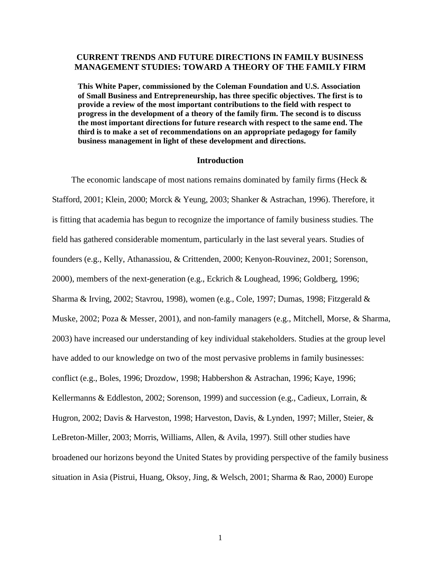### **CURRENT TRENDS AND FUTURE DIRECTIONS IN FAMILY BUSINESS MANAGEMENT STUDIES: TOWARD A THEORY OF THE FAMILY FIRM**

**This White Paper, commissioned by the Coleman Foundation and U.S. Association of Small Business and Entrepreneurship, has three specific objectives. The first is to provide a review of the most important contributions to the field with respect to progress in the development of a theory of the family firm. The second is to discuss the most important directions for future research with respect to the same end. The third is to make a set of recommendations on an appropriate pedagogy for family business management in light of these development and directions.**

#### **Introduction**

The economic landscape of most nations remains dominated by family firms (Heck  $\&$ Stafford, 2001; Klein, 2000; Morck & Yeung, 2003; Shanker & Astrachan, 1996). Therefore, it is fitting that academia has begun to recognize the importance of family business studies. The field has gathered considerable momentum, particularly in the last several years. Studies of founders (e.g., Kelly, Athanassiou, & Crittenden, 2000; Kenyon-Rouvinez, 2001; Sorenson, 2000), members of the next-generation (e.g., Eckrich & Loughead, 1996; Goldberg, 1996; Sharma & Irving, 2002; Stavrou, 1998), women (e.g., Cole, 1997; Dumas, 1998; Fitzgerald & Muske, 2002; Poza & Messer, 2001), and non-family managers (e.g., Mitchell, Morse, & Sharma, 2003) have increased our understanding of key individual stakeholders. Studies at the group level have added to our knowledge on two of the most pervasive problems in family businesses: conflict (e.g., Boles, 1996; Drozdow, 1998; Habbershon & Astrachan, 1996; Kaye, 1996; Kellermanns & Eddleston, 2002; Sorenson, 1999) and succession (e.g., Cadieux, Lorrain, & Hugron, 2002; Davis & Harveston, 1998; Harveston, Davis, & Lynden, 1997; Miller, Steier, & LeBreton-Miller, 2003; Morris, Williams, Allen, & Avila, 1997). Still other studies have broadened our horizons beyond the United States by providing perspective of the family business situation in Asia (Pistrui, Huang, Oksoy, Jing, & Welsch, 2001; Sharma & Rao, 2000) Europe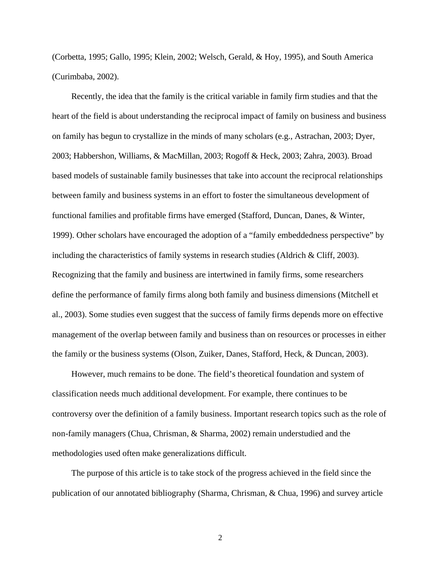(Corbetta, 1995; Gallo, 1995; Klein, 2002; Welsch, Gerald, & Hoy, 1995), and South America (Curimbaba, 2002).

Recently, the idea that the family is the critical variable in family firm studies and that the heart of the field is about understanding the reciprocal impact of family on business and business on family has begun to crystallize in the minds of many scholars (e.g., Astrachan, 2003; Dyer, 2003; Habbershon, Williams, & MacMillan, 2003; Rogoff & Heck, 2003; Zahra, 2003). Broad based models of sustainable family businesses that take into account the reciprocal relationships between family and business systems in an effort to foster the simultaneous development of functional families and profitable firms have emerged (Stafford, Duncan, Danes, & Winter, 1999). Other scholars have encouraged the adoption of a "family embeddedness perspective" by including the characteristics of family systems in research studies (Aldrich & Cliff, 2003). Recognizing that the family and business are intertwined in family firms, some researchers define the performance of family firms along both family and business dimensions (Mitchell et al., 2003). Some studies even suggest that the success of family firms depends more on effective management of the overlap between family and business than on resources or processes in either the family or the business systems (Olson, Zuiker, Danes, Stafford, Heck, & Duncan, 2003).

However, much remains to be done. The field's theoretical foundation and system of classification needs much additional development. For example, there continues to be controversy over the definition of a family business. Important research topics such as the role of non-family managers (Chua, Chrisman, & Sharma, 2002) remain understudied and the methodologies used often make generalizations difficult.

The purpose of this article is to take stock of the progress achieved in the field since the publication of our annotated bibliography (Sharma, Chrisman, & Chua, 1996) and survey article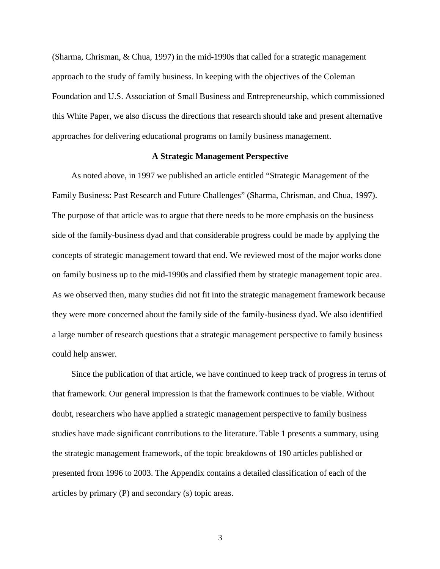(Sharma, Chrisman, & Chua, 1997) in the mid-1990s that called for a strategic management approach to the study of family business. In keeping with the objectives of the Coleman Foundation and U.S. Association of Small Business and Entrepreneurship, which commissioned this White Paper, we also discuss the directions that research should take and present alternative approaches for delivering educational programs on family business management.

### **A Strategic Management Perspective**

As noted above, in 1997 we published an article entitled "Strategic Management of the Family Business: Past Research and Future Challenges" (Sharma, Chrisman, and Chua, 1997). The purpose of that article was to argue that there needs to be more emphasis on the business side of the family-business dyad and that considerable progress could be made by applying the concepts of strategic management toward that end. We reviewed most of the major works done on family business up to the mid-1990s and classified them by strategic management topic area. As we observed then, many studies did not fit into the strategic management framework because they were more concerned about the family side of the family-business dyad. We also identified a large number of research questions that a strategic management perspective to family business could help answer.

Since the publication of that article, we have continued to keep track of progress in terms of that framework. Our general impression is that the framework continues to be viable. Without doubt, researchers who have applied a strategic management perspective to family business studies have made significant contributions to the literature. Table 1 presents a summary, using the strategic management framework, of the topic breakdowns of 190 articles published or presented from 1996 to 2003. The Appendix contains a detailed classification of each of the articles by primary (P) and secondary (s) topic areas.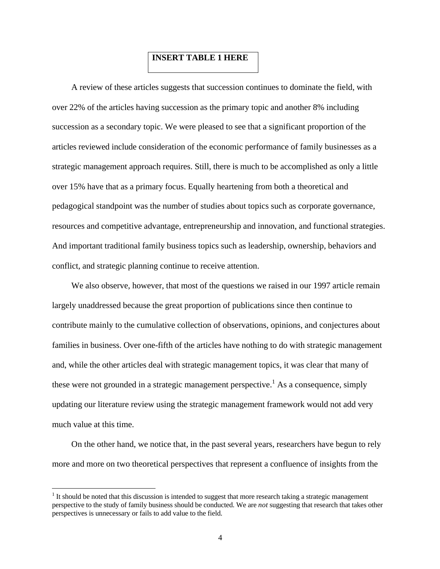### **INSERT TABLE 1 HERE**

A review of these articles suggests that succession continues to dominate the field, with over 22% of the articles having succession as the primary topic and another 8% including succession as a secondary topic. We were pleased to see that a significant proportion of the articles reviewed include consideration of the economic performance of family businesses as a strategic management approach requires. Still, there is much to be accomplished as only a little over 15% have that as a primary focus. Equally heartening from both a theoretical and pedagogical standpoint was the number of studies about topics such as corporate governance, resources and competitive advantage, entrepreneurship and innovation, and functional strategies. And important traditional family business topics such as leadership, ownership, behaviors and conflict, and strategic planning continue to receive attention.

We also observe, however, that most of the questions we raised in our 1997 article remain largely unaddressed because the great proportion of publications since then continue to contribute mainly to the cumulative collection of observations, opinions, and conjectures about families in business. Over one-fifth of the articles have nothing to do with strategic management and, while the other articles deal with strategic management topics, it was clear that many of these were not grounded in a strategic management perspective.<sup>1</sup> As a consequence, simply updating our literature review using the strategic management framework would not add very much value at this time.

On the other hand, we notice that, in the past several years, researchers have begun to rely more and more on two theoretical perspectives that represent a confluence of insights from the

<sup>&</sup>lt;sup>1</sup> It should be noted that this discussion is intended to suggest that more research taking a strategic management perspective to the study of family business should be conducted. We are *not* suggesting that research that takes other perspectives is unnecessary or fails to add value to the field.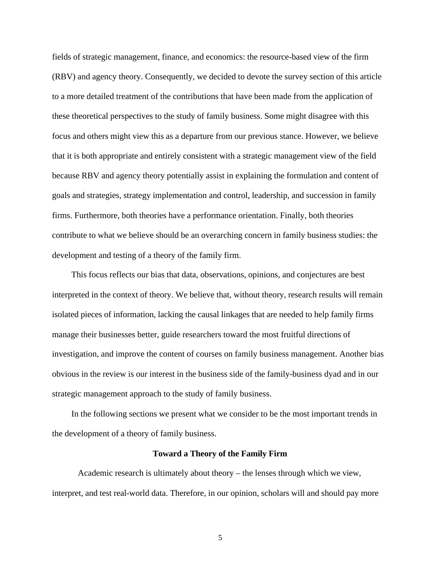fields of strategic management, finance, and economics: the resource-based view of the firm (RBV) and agency theory. Consequently, we decided to devote the survey section of this article to a more detailed treatment of the contributions that have been made from the application of these theoretical perspectives to the study of family business. Some might disagree with this focus and others might view this as a departure from our previous stance. However, we believe that it is both appropriate and entirely consistent with a strategic management view of the field because RBV and agency theory potentially assist in explaining the formulation and content of goals and strategies, strategy implementation and control, leadership, and succession in family firms. Furthermore, both theories have a performance orientation. Finally, both theories contribute to what we believe should be an overarching concern in family business studies: the development and testing of a theory of the family firm.

This focus reflects our bias that data, observations, opinions, and conjectures are best interpreted in the context of theory. We believe that, without theory, research results will remain isolated pieces of information, lacking the causal linkages that are needed to help family firms manage their businesses better, guide researchers toward the most fruitful directions of investigation, and improve the content of courses on family business management. Another bias obvious in the review is our interest in the business side of the family-business dyad and in our strategic management approach to the study of family business.

In the following sections we present what we consider to be the most important trends in the development of a theory of family business.

#### **Toward a Theory of the Family Firm**

Academic research is ultimately about theory – the lenses through which we view, interpret, and test real-world data. Therefore, in our opinion, scholars will and should pay more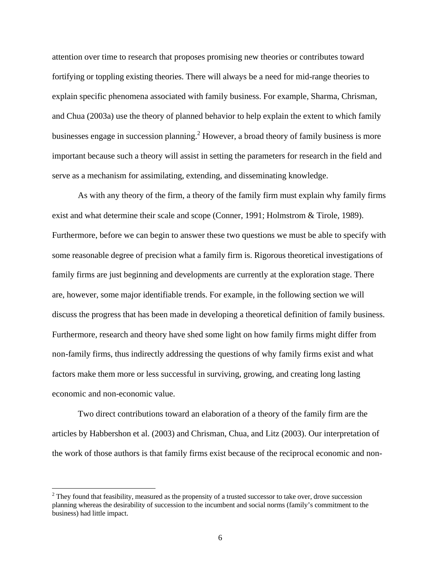attention over time to research that proposes promising new theories or contributes toward fortifying or toppling existing theories. There will always be a need for mid-range theories to explain specific phenomena associated with family business. For example, Sharma, Chrisman, and Chua (2003a) use the theory of planned behavior to help explain the extent to which family businesses engage in succession planning.<sup>2</sup> However, a broad theory of family business is more important because such a theory will assist in setting the parameters for research in the field and serve as a mechanism for assimilating, extending, and disseminating knowledge.

As with any theory of the firm, a theory of the family firm must explain why family firms exist and what determine their scale and scope (Conner, 1991; Holmstrom & Tirole, 1989). Furthermore, before we can begin to answer these two questions we must be able to specify with some reasonable degree of precision what a family firm is. Rigorous theoretical investigations of family firms are just beginning and developments are currently at the exploration stage. There are, however, some major identifiable trends. For example, in the following section we will discuss the progress that has been made in developing a theoretical definition of family business. Furthermore, research and theory have shed some light on how family firms might differ from non-family firms, thus indirectly addressing the questions of why family firms exist and what factors make them more or less successful in surviving, growing, and creating long lasting economic and non-economic value.

Two direct contributions toward an elaboration of a theory of the family firm are the articles by Habbershon et al. (2003) and Chrisman, Chua, and Litz (2003). Our interpretation of the work of those authors is that family firms exist because of the reciprocal economic and non-

 $2$  They found that feasibility, measured as the propensity of a trusted successor to take over, drove succession planning whereas the desirability of succession to the incumbent and social norms (family's commitment to the business) had little impact.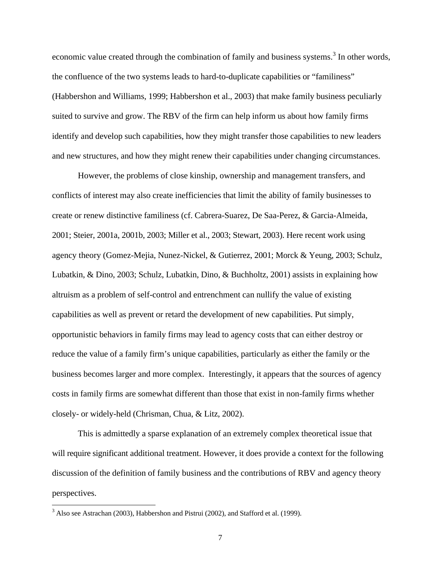economic value created through the combination of family and business systems.<sup>3</sup> In other words, the confluence of the two systems leads to hard-to-duplicate capabilities or "familiness" (Habbershon and Williams, 1999; Habbershon et al., 2003) that make family business peculiarly suited to survive and grow. The RBV of the firm can help inform us about how family firms identify and develop such capabilities, how they might transfer those capabilities to new leaders and new structures, and how they might renew their capabilities under changing circumstances.

However, the problems of close kinship, ownership and management transfers, and conflicts of interest may also create inefficiencies that limit the ability of family businesses to create or renew distinctive familiness (cf. Cabrera-Suarez, De Saa-Perez, & Garcia-Almeida, 2001; Steier, 2001a, 2001b, 2003; Miller et al., 2003; Stewart, 2003). Here recent work using agency theory (Gomez-Mejia, Nunez-Nickel, & Gutierrez, 2001; Morck & Yeung, 2003; Schulz, Lubatkin, & Dino, 2003; Schulz, Lubatkin, Dino, & Buchholtz, 2001) assists in explaining how altruism as a problem of self-control and entrenchment can nullify the value of existing capabilities as well as prevent or retard the development of new capabilities. Put simply, opportunistic behaviors in family firms may lead to agency costs that can either destroy or reduce the value of a family firm's unique capabilities, particularly as either the family or the business becomes larger and more complex. Interestingly, it appears that the sources of agency costs in family firms are somewhat different than those that exist in non-family firms whether closely- or widely-held (Chrisman, Chua, & Litz, 2002).

This is admittedly a sparse explanation of an extremely complex theoretical issue that will require significant additional treatment. However, it does provide a context for the following discussion of the definition of family business and the contributions of RBV and agency theory perspectives.

<sup>&</sup>lt;sup>3</sup> Also see Astrachan (2003), Habbershon and Pistrui (2002), and Stafford et al. (1999).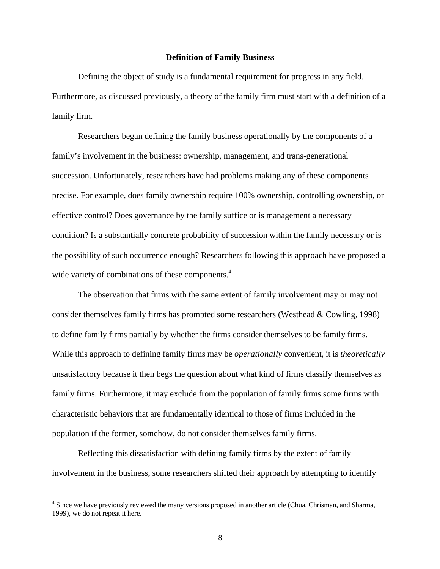#### **Definition of Family Business**

Defining the object of study is a fundamental requirement for progress in any field. Furthermore, as discussed previously, a theory of the family firm must start with a definition of a family firm.

Researchers began defining the family business operationally by the components of a family's involvement in the business: ownership, management, and trans-generational succession. Unfortunately, researchers have had problems making any of these components precise. For example, does family ownership require 100% ownership, controlling ownership, or effective control? Does governance by the family suffice or is management a necessary condition? Is a substantially concrete probability of succession within the family necessary or is the possibility of such occurrence enough? Researchers following this approach have proposed a wide variety of combinations of these components.<sup>4</sup>

The observation that firms with the same extent of family involvement may or may not consider themselves family firms has prompted some researchers (Westhead & Cowling, 1998) to define family firms partially by whether the firms consider themselves to be family firms. While this approach to defining family firms may be *operationally* convenient, it is *theoretically* unsatisfactory because it then begs the question about what kind of firms classify themselves as family firms. Furthermore, it may exclude from the population of family firms some firms with characteristic behaviors that are fundamentally identical to those of firms included in the population if the former, somehow, do not consider themselves family firms.

Reflecting this dissatisfaction with defining family firms by the extent of family involvement in the business, some researchers shifted their approach by attempting to identify

<sup>&</sup>lt;sup>4</sup> Since we have previously reviewed the many versions proposed in another article (Chua, Chrisman, and Sharma, 1999), we do not repeat it here.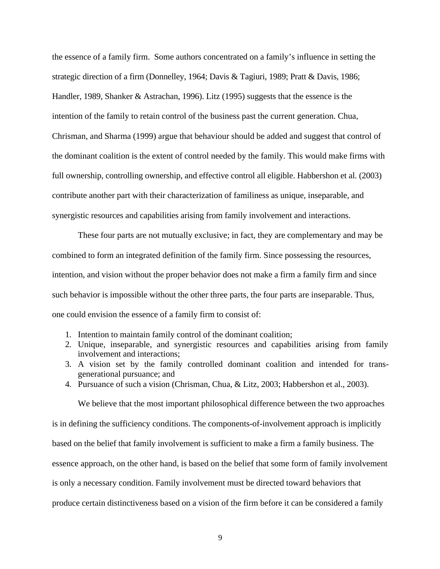the essence of a family firm. Some authors concentrated on a family's influence in setting the strategic direction of a firm (Donnelley, 1964; Davis & Tagiuri, 1989; Pratt & Davis, 1986; Handler, 1989, Shanker & Astrachan, 1996). Litz (1995) suggests that the essence is the intention of the family to retain control of the business past the current generation. Chua, Chrisman, and Sharma (1999) argue that behaviour should be added and suggest that control of the dominant coalition is the extent of control needed by the family. This would make firms with full ownership, controlling ownership, and effective control all eligible. Habbershon et al. (2003) contribute another part with their characterization of familiness as unique, inseparable, and synergistic resources and capabilities arising from family involvement and interactions.

These four parts are not mutually exclusive; in fact, they are complementary and may be combined to form an integrated definition of the family firm. Since possessing the resources, intention, and vision without the proper behavior does not make a firm a family firm and since such behavior is impossible without the other three parts, the four parts are inseparable. Thus, one could envision the essence of a family firm to consist of:

- 1. Intention to maintain family control of the dominant coalition;
- 2. Unique, inseparable, and synergistic resources and capabilities arising from family involvement and interactions;
- 3. A vision set by the family controlled dominant coalition and intended for transgenerational pursuance; and
- 4. Pursuance of such a vision (Chrisman, Chua, & Litz, 2003; Habbershon et al., 2003).

We believe that the most important philosophical difference between the two approaches is in defining the sufficiency conditions. The components-of-involvement approach is implicitly based on the belief that family involvement is sufficient to make a firm a family business. The essence approach, on the other hand, is based on the belief that some form of family involvement is only a necessary condition. Family involvement must be directed toward behaviors that produce certain distinctiveness based on a vision of the firm before it can be considered a family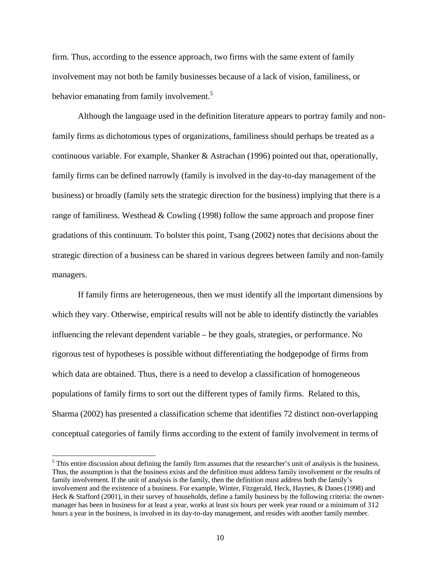firm. Thus, according to the essence approach, two firms with the same extent of family involvement may not both be family businesses because of a lack of vision, familiness, or behavior emanating from family involvement.<sup>5</sup>

Although the language used in the definition literature appears to portray family and nonfamily firms as dichotomous types of organizations, familiness should perhaps be treated as a continuous variable. For example, Shanker & Astrachan (1996) pointed out that, operationally, family firms can be defined narrowly (family is involved in the day-to-day management of the business) or broadly (family sets the strategic direction for the business) implying that there is a range of familiness. Westhead & Cowling (1998) follow the same approach and propose finer gradations of this continuum. To bolster this point, Tsang (2002) notes that decisions about the strategic direction of a business can be shared in various degrees between family and non-family managers.

If family firms are heterogeneous, then we must identify all the important dimensions by which they vary. Otherwise, empirical results will not be able to identify distinctly the variables influencing the relevant dependent variable – be they goals, strategies, or performance. No rigorous test of hypotheses is possible without differentiating the hodgepodge of firms from which data are obtained. Thus, there is a need to develop a classification of homogeneous populations of family firms to sort out the different types of family firms. Related to this, Sharma (2002) has presented a classification scheme that identifies 72 distinct non-overlapping conceptual categories of family firms according to the extent of family involvement in terms of

 $<sup>5</sup>$  This entire discussion about defining the family firm assumes that the researcher's unit of analysis is the business.</sup> Thus, the assumption is that the business exists and the definition must address family involvement or the results of family involvement. If the unit of analysis is the family, then the definition must address both the family's involvement and the existence of a business. For example, Winter, Fitzgerald, Heck, Haynes, & Danes (1998) and Heck & Stafford (2001), in their survey of households, define a family business by the following criteria: the ownermanager has been in business for at least a year, works at least six hours per week year round or a minimum of 312 hours a year in the business, is involved in its day-to-day management, and resides with another family member.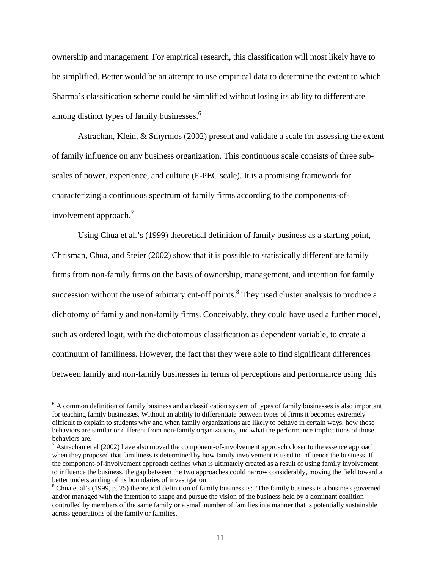ownership and management. For empirical research, this classification will most likely have to be simplified. Better would be an attempt to use empirical data to determine the extent to which Sharma's classification scheme could be simplified without losing its ability to differentiate among distinct types of family businesses.<sup>6</sup>

Astrachan, Klein, & Smyrnios (2002) present and validate a scale for assessing the extent of family influence on any business organization. This continuous scale consists of three subscales of power, experience, and culture (F-PEC scale). It is a promising framework for characterizing a continuous spectrum of family firms according to the components-ofinvolvement approach.<sup>7</sup>

Using Chua et al.'s (1999) theoretical definition of family business as a starting point, Chrisman, Chua, and Steier (2002) show that it is possible to statistically differentiate family firms from non-family firms on the basis of ownership, management, and intention for family succession without the use of arbitrary cut-off points.<sup>8</sup> They used cluster analysis to produce a dichotomy of family and non-family firms. Conceivably, they could have used a further model, such as ordered logit, with the dichotomous classification as dependent variable, to create a continuum of familiness. However, the fact that they were able to find significant differences between family and non-family businesses in terms of perceptions and performance using this

<sup>&</sup>lt;sup>6</sup> A common definition of family business and a classification system of types of family businesses is also important for teaching family businesses. Without an ability to differentiate between types of firms it becomes extremely difficult to explain to students why and when family organizations are likely to behave in certain ways, how those behaviors are similar or different from non-family organizations, and what the performance implications of those behaviors are.

 $<sup>7</sup>$  Astrachan et al (2002) have also moved the component-of-involvement approach closer to the essence approach</sup> when they proposed that familiness is determined by how family involvement is used to influence the business. If the component-of-involvement approach defines what is ultimately created as a result of using family involvement to influence the business, the gap between the two approaches could narrow considerably, moving the field toward a better understanding of its boundaries of investigation.

 $8$  Chua et al's (1999, p. 25) theoretical definition of family business is: "The family business is a business governed and/or managed with the intention to shape and pursue the vision of the business held by a dominant coalition controlled by members of the same family or a small number of families in a manner that is potentially sustainable across generations of the family or families.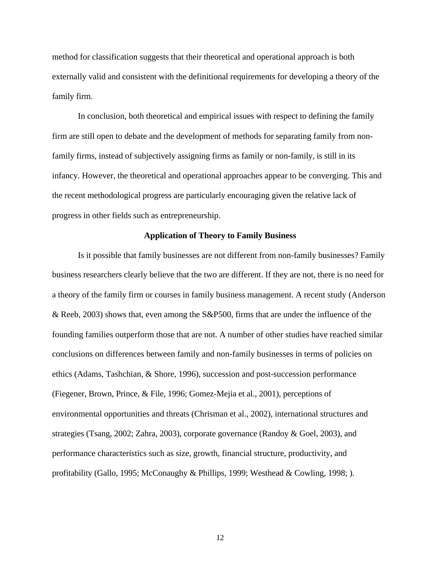method for classification suggests that their theoretical and operational approach is both externally valid and consistent with the definitional requirements for developing a theory of the family firm.

In conclusion, both theoretical and empirical issues with respect to defining the family firm are still open to debate and the development of methods for separating family from nonfamily firms, instead of subjectively assigning firms as family or non-family, is still in its infancy. However, the theoretical and operational approaches appear to be converging. This and the recent methodological progress are particularly encouraging given the relative lack of progress in other fields such as entrepreneurship.

### **Application of Theory to Family Business**

Is it possible that family businesses are not different from non-family businesses? Family business researchers clearly believe that the two are different. If they are not, there is no need for a theory of the family firm or courses in family business management. A recent study (Anderson & Reeb, 2003) shows that, even among the S&P500, firms that are under the influence of the founding families outperform those that are not. A number of other studies have reached similar conclusions on differences between family and non-family businesses in terms of policies on ethics (Adams, Tashchian, & Shore, 1996), succession and post-succession performance (Fiegener, Brown, Prince, & File, 1996; Gomez-Mejia et al., 2001), perceptions of environmental opportunities and threats (Chrisman et al., 2002), international structures and strategies (Tsang, 2002; Zahra, 2003), corporate governance (Randoy & Goel, 2003), and performance characteristics such as size, growth, financial structure, productivity, and profitability (Gallo, 1995; McConaughy & Phillips, 1999; Westhead & Cowling, 1998; ).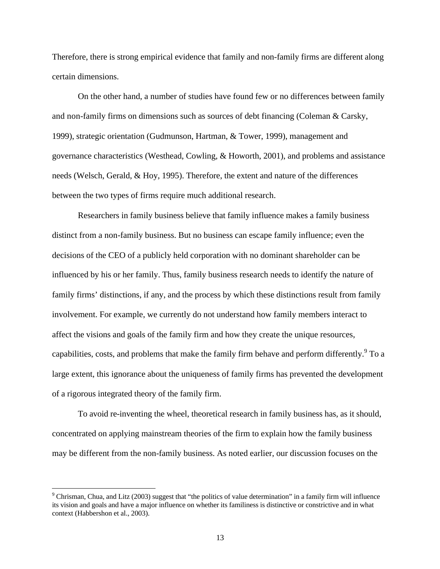Therefore, there is strong empirical evidence that family and non-family firms are different along certain dimensions.

On the other hand, a number of studies have found few or no differences between family and non-family firms on dimensions such as sources of debt financing (Coleman & Carsky, 1999), strategic orientation (Gudmunson, Hartman, & Tower, 1999), management and governance characteristics (Westhead, Cowling, & Howorth, 2001), and problems and assistance needs (Welsch, Gerald, & Hoy, 1995). Therefore, the extent and nature of the differences between the two types of firms require much additional research.

Researchers in family business believe that family influence makes a family business distinct from a non-family business. But no business can escape family influence; even the decisions of the CEO of a publicly held corporation with no dominant shareholder can be influenced by his or her family. Thus, family business research needs to identify the nature of family firms' distinctions, if any, and the process by which these distinctions result from family involvement. For example, we currently do not understand how family members interact to affect the visions and goals of the family firm and how they create the unique resources, capabilities, costs, and problems that make the family firm behave and perform differently.  $9^{\circ}$  To a large extent, this ignorance about the uniqueness of family firms has prevented the development of a rigorous integrated theory of the family firm.

To avoid re-inventing the wheel, theoretical research in family business has, as it should, concentrated on applying mainstream theories of the firm to explain how the family business may be different from the non-family business. As noted earlier, our discussion focuses on the

<sup>&</sup>lt;sup>9</sup> Chrisman, Chua, and Litz (2003) suggest that "the politics of value determination" in a family firm will influence its vision and goals and have a major influence on whether its familiness is distinctive or constrictive and in what context (Habbershon et al., 2003).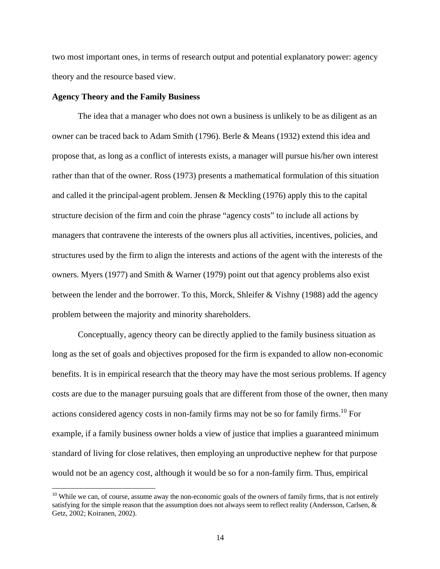two most important ones, in terms of research output and potential explanatory power: agency theory and the resource based view.

### **Agency Theory and the Family Business**

 $\overline{a}$ 

The idea that a manager who does not own a business is unlikely to be as diligent as an owner can be traced back to Adam Smith (1796). Berle & Means (1932) extend this idea and propose that, as long as a conflict of interests exists, a manager will pursue his/her own interest rather than that of the owner. Ross (1973) presents a mathematical formulation of this situation and called it the principal-agent problem. Jensen & Meckling (1976) apply this to the capital structure decision of the firm and coin the phrase "agency costs" to include all actions by managers that contravene the interests of the owners plus all activities, incentives, policies, and structures used by the firm to align the interests and actions of the agent with the interests of the owners. Myers (1977) and Smith & Warner (1979) point out that agency problems also exist between the lender and the borrower. To this, Morck, Shleifer & Vishny (1988) add the agency problem between the majority and minority shareholders.

Conceptually, agency theory can be directly applied to the family business situation as long as the set of goals and objectives proposed for the firm is expanded to allow non-economic benefits. It is in empirical research that the theory may have the most serious problems. If agency costs are due to the manager pursuing goals that are different from those of the owner, then many actions considered agency costs in non-family firms may not be so for family firms.<sup>10</sup> For example, if a family business owner holds a view of justice that implies a guaranteed minimum standard of living for close relatives, then employing an unproductive nephew for that purpose would not be an agency cost, although it would be so for a non-family firm. Thus, empirical

<sup>&</sup>lt;sup>10</sup> While we can, of course, assume away the non-economic goals of the owners of family firms, that is not entirely satisfying for the simple reason that the assumption does not always seem to reflect reality (Andersson, Carlsen, & Getz, 2002; Koiranen, 2002).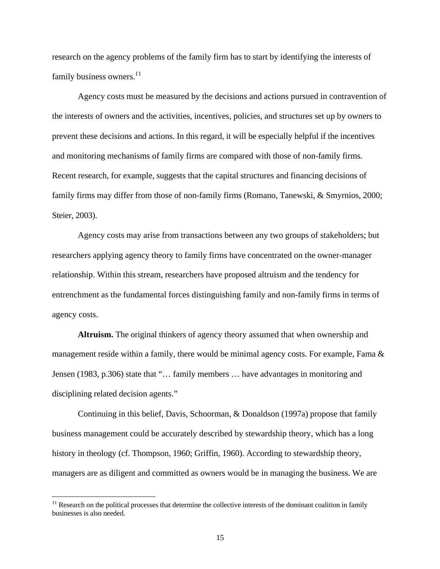research on the agency problems of the family firm has to start by identifying the interests of family business owners.<sup>11</sup>

Agency costs must be measured by the decisions and actions pursued in contravention of the interests of owners and the activities, incentives, policies, and structures set up by owners to prevent these decisions and actions. In this regard, it will be especially helpful if the incentives and monitoring mechanisms of family firms are compared with those of non-family firms. Recent research, for example, suggests that the capital structures and financing decisions of family firms may differ from those of non-family firms (Romano, Tanewski, & Smyrnios, 2000; Steier, 2003).

Agency costs may arise from transactions between any two groups of stakeholders; but researchers applying agency theory to family firms have concentrated on the owner-manager relationship. Within this stream, researchers have proposed altruism and the tendency for entrenchment as the fundamental forces distinguishing family and non-family firms in terms of agency costs.

**Altruism.** The original thinkers of agency theory assumed that when ownership and management reside within a family, there would be minimal agency costs. For example, Fama  $\&$ Jensen (1983, p.306) state that "… family members … have advantages in monitoring and disciplining related decision agents."

Continuing in this belief, Davis, Schoorman, & Donaldson (1997a) propose that family business management could be accurately described by stewardship theory, which has a long history in theology (cf. Thompson, 1960; Griffin, 1960). According to stewardship theory, managers are as diligent and committed as owners would be in managing the business. We are

 $11$  Research on the political processes that determine the collective interests of the dominant coalition in family businesses is also needed.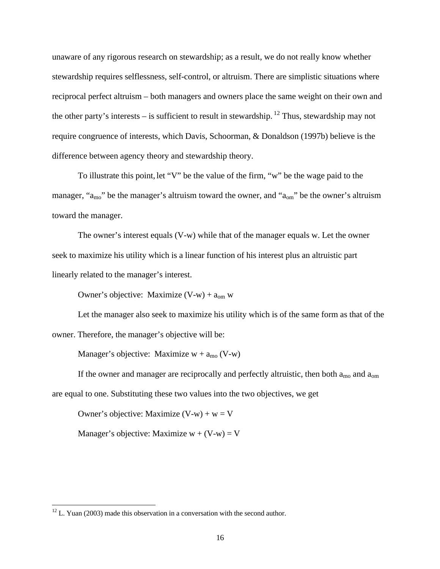unaware of any rigorous research on stewardship; as a result, we do not really know whether stewardship requires selflessness, self-control, or altruism. There are simplistic situations where reciprocal perfect altruism – both managers and owners place the same weight on their own and the other party's interests – is sufficient to result in stewardship. <sup>12</sup> Thus, stewardship may not require congruence of interests, which Davis, Schoorman, & Donaldson (1997b) believe is the difference between agency theory and stewardship theory.

To illustrate this point, let "V" be the value of the firm, "w" be the wage paid to the manager, "a<sub>mo</sub>" be the manager's altruism toward the owner, and "a<sub>om</sub>" be the owner's altruism toward the manager.

The owner's interest equals (V-w) while that of the manager equals w. Let the owner seek to maximize his utility which is a linear function of his interest plus an altruistic part linearly related to the manager's interest.

Owner's objective: Maximize  $(V-w) + a_{om} w$ 

Let the manager also seek to maximize his utility which is of the same form as that of the owner. Therefore, the manager's objective will be:

Manager's objective: Maximize  $w + a_{\text{mo}} (V-w)$ 

If the owner and manager are reciprocally and perfectly altruistic, then both  $a_{\text{mo}}$  and  $a_{\text{om}}$ are equal to one. Substituting these two values into the two objectives, we get

Owner's objective: Maximize  $(V-w) + w = V$ 

Manager's objective: Maximize  $w + (V-w) = V$ 

 $12$  L. Yuan (2003) made this observation in a conversation with the second author.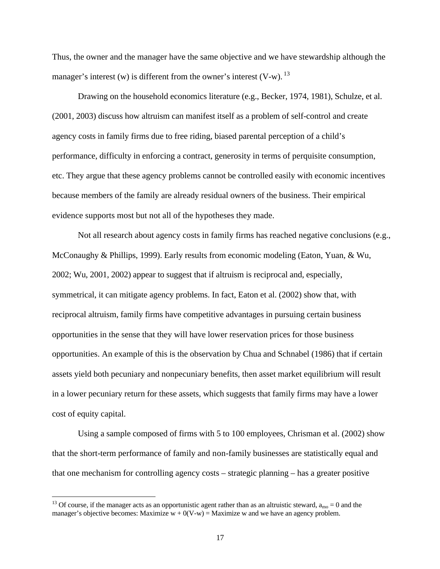Thus, the owner and the manager have the same objective and we have stewardship although the manager's interest (w) is different from the owner's interest  $(V-w)$ . <sup>13</sup>

Drawing on the household economics literature (e.g., Becker, 1974, 1981), Schulze, et al. (2001, 2003) discuss how altruism can manifest itself as a problem of self-control and create agency costs in family firms due to free riding, biased parental perception of a child's performance, difficulty in enforcing a contract, generosity in terms of perquisite consumption, etc. They argue that these agency problems cannot be controlled easily with economic incentives because members of the family are already residual owners of the business. Their empirical evidence supports most but not all of the hypotheses they made.

Not all research about agency costs in family firms has reached negative conclusions (e.g., McConaughy & Phillips, 1999). Early results from economic modeling (Eaton, Yuan, & Wu, 2002; Wu, 2001, 2002) appear to suggest that if altruism is reciprocal and, especially, symmetrical, it can mitigate agency problems. In fact, Eaton et al. (2002) show that, with reciprocal altruism, family firms have competitive advantages in pursuing certain business opportunities in the sense that they will have lower reservation prices for those business opportunities. An example of this is the observation by Chua and Schnabel (1986) that if certain assets yield both pecuniary and nonpecuniary benefits, then asset market equilibrium will result in a lower pecuniary return for these assets, which suggests that family firms may have a lower cost of equity capital.

Using a sample composed of firms with 5 to 100 employees, Chrisman et al. (2002) show that the short-term performance of family and non-family businesses are statistically equal and that one mechanism for controlling agency costs – strategic planning – has a greater positive

<sup>&</sup>lt;sup>13</sup> Of course, if the manager acts as an opportunistic agent rather than as an altruistic steward,  $a_{\text{mo}} = 0$  and the manager's objective becomes: Maximize  $w + 0(V-w) =$  Maximize w and we have an agency problem.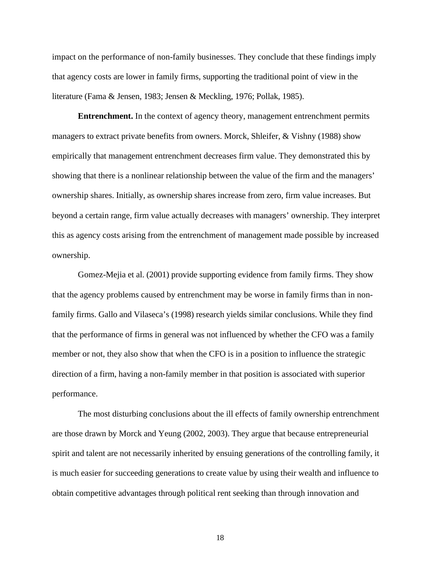impact on the performance of non-family businesses. They conclude that these findings imply that agency costs are lower in family firms, supporting the traditional point of view in the literature (Fama & Jensen, 1983; Jensen & Meckling, 1976; Pollak, 1985).

**Entrenchment.** In the context of agency theory, management entrenchment permits managers to extract private benefits from owners. Morck, Shleifer, & Vishny (1988) show empirically that management entrenchment decreases firm value. They demonstrated this by showing that there is a nonlinear relationship between the value of the firm and the managers' ownership shares. Initially, as ownership shares increase from zero, firm value increases. But beyond a certain range, firm value actually decreases with managers' ownership. They interpret this as agency costs arising from the entrenchment of management made possible by increased ownership.

Gomez-Mejia et al. (2001) provide supporting evidence from family firms. They show that the agency problems caused by entrenchment may be worse in family firms than in nonfamily firms. Gallo and Vilaseca's (1998) research yields similar conclusions. While they find that the performance of firms in general was not influenced by whether the CFO was a family member or not, they also show that when the CFO is in a position to influence the strategic direction of a firm, having a non-family member in that position is associated with superior performance.

The most disturbing conclusions about the ill effects of family ownership entrenchment are those drawn by Morck and Yeung (2002, 2003). They argue that because entrepreneurial spirit and talent are not necessarily inherited by ensuing generations of the controlling family, it is much easier for succeeding generations to create value by using their wealth and influence to obtain competitive advantages through political rent seeking than through innovation and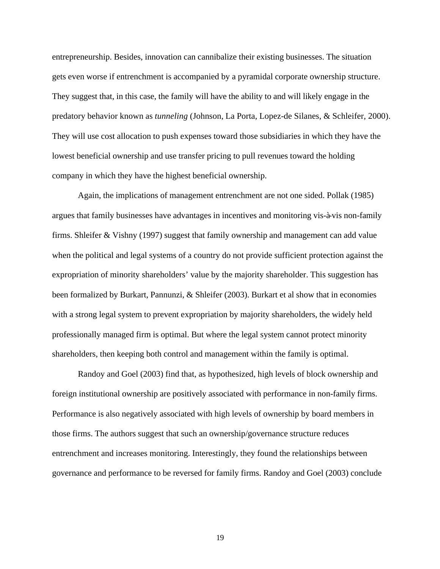entrepreneurship. Besides, innovation can cannibalize their existing businesses. The situation gets even worse if entrenchment is accompanied by a pyramidal corporate ownership structure. They suggest that, in this case, the family will have the ability to and will likely engage in the predatory behavior known as *tunneling* (Johnson, La Porta, Lopez-de Silanes, & Schleifer, 2000). They will use cost allocation to push expenses toward those subsidiaries in which they have the lowest beneficial ownership and use transfer pricing to pull revenues toward the holding company in which they have the highest beneficial ownership.

Again, the implications of management entrenchment are not one sided. Pollak (1985) argues that family businesses have advantages in incentives and monitoring vis-à-vis non-family firms. Shleifer & Vishny (1997) suggest that family ownership and management can add value when the political and legal systems of a country do not provide sufficient protection against the expropriation of minority shareholders' value by the majority shareholder. This suggestion has been formalized by Burkart, Pannunzi, & Shleifer (2003). Burkart et al show that in economies with a strong legal system to prevent expropriation by majority shareholders, the widely held professionally managed firm is optimal. But where the legal system cannot protect minority shareholders, then keeping both control and management within the family is optimal.

Randoy and Goel (2003) find that, as hypothesized, high levels of block ownership and foreign institutional ownership are positively associated with performance in non-family firms. Performance is also negatively associated with high levels of ownership by board members in those firms. The authors suggest that such an ownership/governance structure reduces entrenchment and increases monitoring. Interestingly, they found the relationships between governance and performance to be reversed for family firms. Randoy and Goel (2003) conclude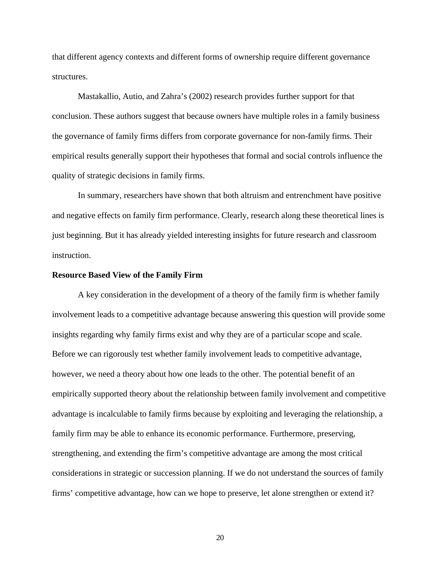that different agency contexts and different forms of ownership require different governance structures.

Mastakallio, Autio, and Zahra's (2002) research provides further support for that conclusion. These authors suggest that because owners have multiple roles in a family business the governance of family firms differs from corporate governance for non-family firms. Their empirical results generally support their hypotheses that formal and social controls influence the quality of strategic decisions in family firms.

In summary, researchers have shown that both altruism and entrenchment have positive and negative effects on family firm performance. Clearly, research along these theoretical lines is just beginning. But it has already yielded interesting insights for future research and classroom instruction.

#### **Resource Based View of the Family Firm**

A key consideration in the development of a theory of the family firm is whether family involvement leads to a competitive advantage because answering this question will provide some insights regarding why family firms exist and why they are of a particular scope and scale. Before we can rigorously test whether family involvement leads to competitive advantage, however, we need a theory about how one leads to the other. The potential benefit of an empirically supported theory about the relationship between family involvement and competitive advantage is incalculable to family firms because by exploiting and leveraging the relationship, a family firm may be able to enhance its economic performance. Furthermore, preserving, strengthening, and extending the firm's competitive advantage are among the most critical considerations in strategic or succession planning. If we do not understand the sources of family firms' competitive advantage, how can we hope to preserve, let alone strengthen or extend it?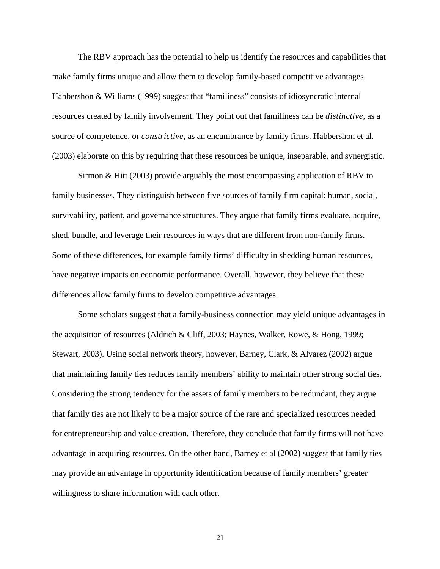The RBV approach has the potential to help us identify the resources and capabilities that make family firms unique and allow them to develop family-based competitive advantages. Habbershon & Williams (1999) suggest that "familiness" consists of idiosyncratic internal resources created by family involvement. They point out that familiness can be *distinctive*, as a source of competence, or *constrictive*, as an encumbrance by family firms. Habbershon et al. (2003) elaborate on this by requiring that these resources be unique, inseparable, and synergistic.

Sirmon & Hitt (2003) provide arguably the most encompassing application of RBV to family businesses. They distinguish between five sources of family firm capital: human, social, survivability, patient, and governance structures. They argue that family firms evaluate, acquire, shed, bundle, and leverage their resources in ways that are different from non-family firms. Some of these differences, for example family firms' difficulty in shedding human resources, have negative impacts on economic performance. Overall, however, they believe that these differences allow family firms to develop competitive advantages.

Some scholars suggest that a family-business connection may yield unique advantages in the acquisition of resources (Aldrich & Cliff, 2003; Haynes, Walker, Rowe, & Hong, 1999; Stewart, 2003). Using social network theory, however, Barney, Clark, & Alvarez (2002) argue that maintaining family ties reduces family members' ability to maintain other strong social ties. Considering the strong tendency for the assets of family members to be redundant, they argue that family ties are not likely to be a major source of the rare and specialized resources needed for entrepreneurship and value creation. Therefore, they conclude that family firms will not have advantage in acquiring resources. On the other hand, Barney et al (2002) suggest that family ties may provide an advantage in opportunity identification because of family members' greater willingness to share information with each other.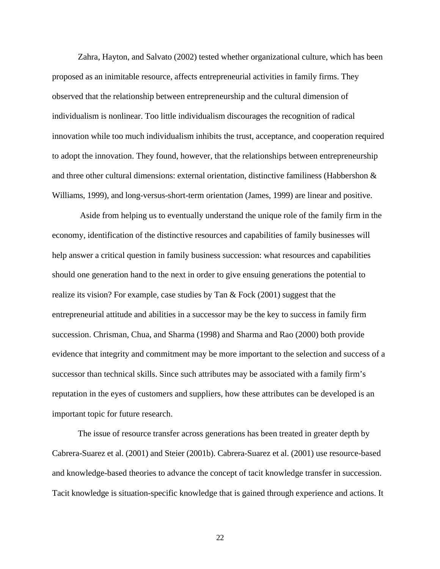Zahra, Hayton, and Salvato (2002) tested whether organizational culture, which has been proposed as an inimitable resource, affects entrepreneurial activities in family firms. They observed that the relationship between entrepreneurship and the cultural dimension of individualism is nonlinear. Too little individualism discourages the recognition of radical innovation while too much individualism inhibits the trust, acceptance, and cooperation required to adopt the innovation. They found, however, that the relationships between entrepreneurship and three other cultural dimensions: external orientation, distinctive familiness (Habbershon & Williams, 1999), and long-versus-short-term orientation (James, 1999) are linear and positive.

 Aside from helping us to eventually understand the unique role of the family firm in the economy, identification of the distinctive resources and capabilities of family businesses will help answer a critical question in family business succession: what resources and capabilities should one generation hand to the next in order to give ensuing generations the potential to realize its vision? For example, case studies by Tan  $\&$  Fock (2001) suggest that the entrepreneurial attitude and abilities in a successor may be the key to success in family firm succession. Chrisman, Chua, and Sharma (1998) and Sharma and Rao (2000) both provide evidence that integrity and commitment may be more important to the selection and success of a successor than technical skills. Since such attributes may be associated with a family firm's reputation in the eyes of customers and suppliers, how these attributes can be developed is an important topic for future research.

The issue of resource transfer across generations has been treated in greater depth by Cabrera-Suarez et al. (2001) and Steier (2001b). Cabrera-Suarez et al. (2001) use resource-based and knowledge-based theories to advance the concept of tacit knowledge transfer in succession. Tacit knowledge is situation-specific knowledge that is gained through experience and actions. It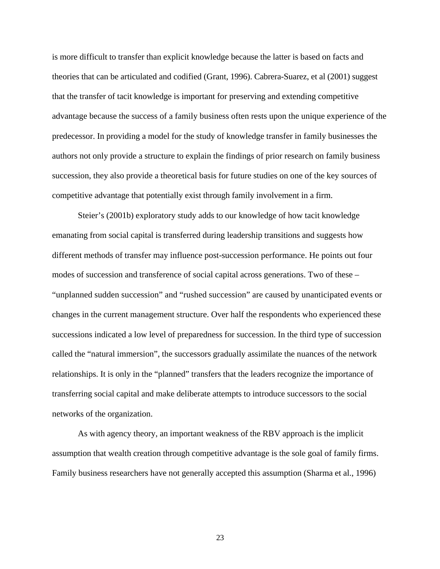is more difficult to transfer than explicit knowledge because the latter is based on facts and theories that can be articulated and codified (Grant, 1996). Cabrera-Suarez, et al (2001) suggest that the transfer of tacit knowledge is important for preserving and extending competitive advantage because the success of a family business often rests upon the unique experience of the predecessor. In providing a model for the study of knowledge transfer in family businesses the authors not only provide a structure to explain the findings of prior research on family business succession, they also provide a theoretical basis for future studies on one of the key sources of competitive advantage that potentially exist through family involvement in a firm.

Steier's (2001b) exploratory study adds to our knowledge of how tacit knowledge emanating from social capital is transferred during leadership transitions and suggests how different methods of transfer may influence post-succession performance. He points out four modes of succession and transference of social capital across generations. Two of these – "unplanned sudden succession" and "rushed succession" are caused by unanticipated events or changes in the current management structure. Over half the respondents who experienced these successions indicated a low level of preparedness for succession. In the third type of succession called the "natural immersion", the successors gradually assimilate the nuances of the network relationships. It is only in the "planned" transfers that the leaders recognize the importance of transferring social capital and make deliberate attempts to introduce successors to the social networks of the organization.

As with agency theory, an important weakness of the RBV approach is the implicit assumption that wealth creation through competitive advantage is the sole goal of family firms. Family business researchers have not generally accepted this assumption (Sharma et al., 1996)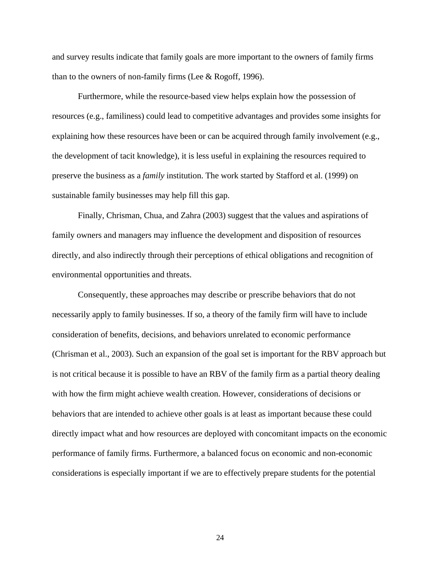and survey results indicate that family goals are more important to the owners of family firms than to the owners of non-family firms (Lee & Rogoff, 1996).

Furthermore, while the resource-based view helps explain how the possession of resources (e.g., familiness) could lead to competitive advantages and provides some insights for explaining how these resources have been or can be acquired through family involvement (e.g., the development of tacit knowledge), it is less useful in explaining the resources required to preserve the business as a *family* institution. The work started by Stafford et al. (1999) on sustainable family businesses may help fill this gap.

Finally, Chrisman, Chua, and Zahra (2003) suggest that the values and aspirations of family owners and managers may influence the development and disposition of resources directly, and also indirectly through their perceptions of ethical obligations and recognition of environmental opportunities and threats.

Consequently, these approaches may describe or prescribe behaviors that do not necessarily apply to family businesses. If so, a theory of the family firm will have to include consideration of benefits, decisions, and behaviors unrelated to economic performance (Chrisman et al., 2003). Such an expansion of the goal set is important for the RBV approach but is not critical because it is possible to have an RBV of the family firm as a partial theory dealing with how the firm might achieve wealth creation. However, considerations of decisions or behaviors that are intended to achieve other goals is at least as important because these could directly impact what and how resources are deployed with concomitant impacts on the economic performance of family firms. Furthermore, a balanced focus on economic and non-economic considerations is especially important if we are to effectively prepare students for the potential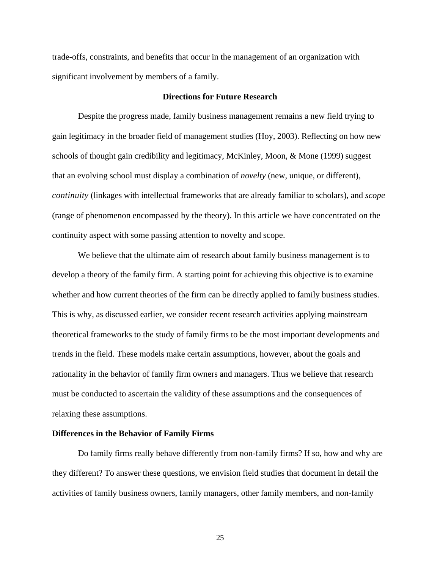trade-offs, constraints, and benefits that occur in the management of an organization with significant involvement by members of a family.

#### **Directions for Future Research**

Despite the progress made, family business management remains a new field trying to gain legitimacy in the broader field of management studies (Hoy, 2003). Reflecting on how new schools of thought gain credibility and legitimacy, McKinley, Moon, & Mone (1999) suggest that an evolving school must display a combination of *novelty* (new, unique, or different), *continuity* (linkages with intellectual frameworks that are already familiar to scholars), and *scope* (range of phenomenon encompassed by the theory). In this article we have concentrated on the continuity aspect with some passing attention to novelty and scope.

We believe that the ultimate aim of research about family business management is to develop a theory of the family firm. A starting point for achieving this objective is to examine whether and how current theories of the firm can be directly applied to family business studies. This is why, as discussed earlier, we consider recent research activities applying mainstream theoretical frameworks to the study of family firms to be the most important developments and trends in the field. These models make certain assumptions, however, about the goals and rationality in the behavior of family firm owners and managers. Thus we believe that research must be conducted to ascertain the validity of these assumptions and the consequences of relaxing these assumptions.

#### **Differences in the Behavior of Family Firms**

Do family firms really behave differently from non-family firms? If so, how and why are they different? To answer these questions, we envision field studies that document in detail the activities of family business owners, family managers, other family members, and non-family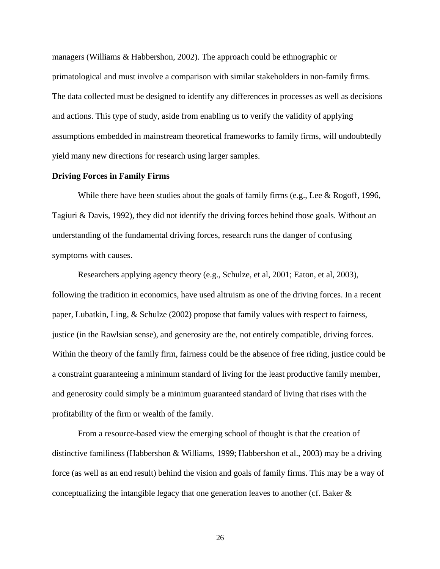managers (Williams & Habbershon, 2002). The approach could be ethnographic or primatological and must involve a comparison with similar stakeholders in non-family firms. The data collected must be designed to identify any differences in processes as well as decisions and actions. This type of study, aside from enabling us to verify the validity of applying assumptions embedded in mainstream theoretical frameworks to family firms, will undoubtedly yield many new directions for research using larger samples.

#### **Driving Forces in Family Firms**

While there have been studies about the goals of family firms (e.g., Lee & Rogoff, 1996, Tagiuri & Davis, 1992), they did not identify the driving forces behind those goals. Without an understanding of the fundamental driving forces, research runs the danger of confusing symptoms with causes.

Researchers applying agency theory (e.g., Schulze, et al, 2001; Eaton, et al, 2003), following the tradition in economics, have used altruism as one of the driving forces. In a recent paper, Lubatkin, Ling, & Schulze (2002) propose that family values with respect to fairness, justice (in the Rawlsian sense), and generosity are the, not entirely compatible, driving forces. Within the theory of the family firm, fairness could be the absence of free riding, justice could be a constraint guaranteeing a minimum standard of living for the least productive family member, and generosity could simply be a minimum guaranteed standard of living that rises with the profitability of the firm or wealth of the family.

From a resource-based view the emerging school of thought is that the creation of distinctive familiness (Habbershon & Williams, 1999; Habbershon et al., 2003) may be a driving force (as well as an end result) behind the vision and goals of family firms. This may be a way of conceptualizing the intangible legacy that one generation leaves to another (cf. Baker &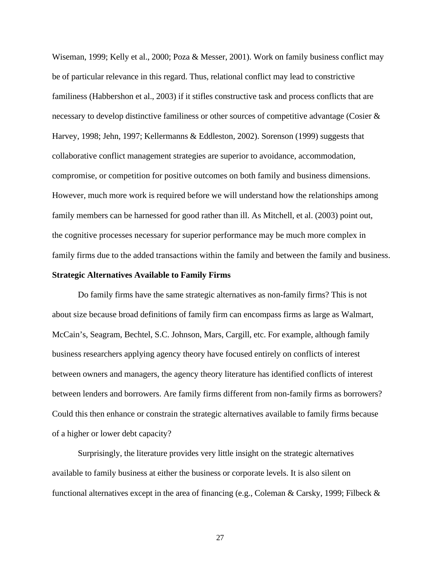Wiseman, 1999; Kelly et al., 2000; Poza & Messer, 2001). Work on family business conflict may be of particular relevance in this regard. Thus, relational conflict may lead to constrictive familiness (Habbershon et al., 2003) if it stifles constructive task and process conflicts that are necessary to develop distinctive familiness or other sources of competitive advantage (Cosier & Harvey, 1998; Jehn, 1997; Kellermanns & Eddleston, 2002). Sorenson (1999) suggests that collaborative conflict management strategies are superior to avoidance, accommodation, compromise, or competition for positive outcomes on both family and business dimensions. However, much more work is required before we will understand how the relationships among family members can be harnessed for good rather than ill. As Mitchell, et al. (2003) point out, the cognitive processes necessary for superior performance may be much more complex in family firms due to the added transactions within the family and between the family and business.

### **Strategic Alternatives Available to Family Firms**

Do family firms have the same strategic alternatives as non-family firms? This is not about size because broad definitions of family firm can encompass firms as large as Walmart, McCain's, Seagram, Bechtel, S.C. Johnson, Mars, Cargill, etc. For example, although family business researchers applying agency theory have focused entirely on conflicts of interest between owners and managers, the agency theory literature has identified conflicts of interest between lenders and borrowers. Are family firms different from non-family firms as borrowers? Could this then enhance or constrain the strategic alternatives available to family firms because of a higher or lower debt capacity?

Surprisingly, the literature provides very little insight on the strategic alternatives available to family business at either the business or corporate levels. It is also silent on functional alternatives except in the area of financing (e.g., Coleman & Carsky, 1999; Filbeck &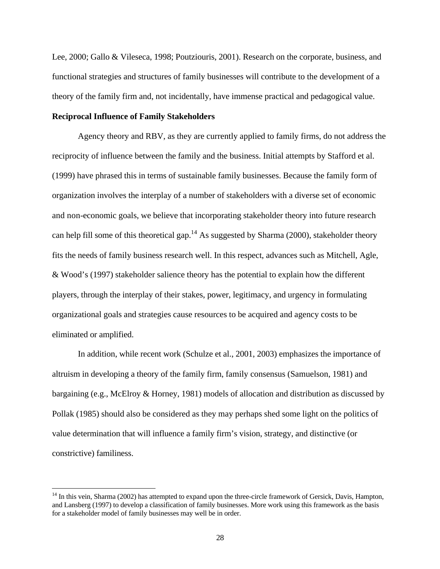Lee, 2000; Gallo & Vileseca, 1998; Poutziouris, 2001). Research on the corporate, business, and functional strategies and structures of family businesses will contribute to the development of a theory of the family firm and, not incidentally, have immense practical and pedagogical value.

### **Reciprocal Influence of Family Stakeholders**

 $\overline{a}$ 

Agency theory and RBV, as they are currently applied to family firms, do not address the reciprocity of influence between the family and the business. Initial attempts by Stafford et al. (1999) have phrased this in terms of sustainable family businesses. Because the family form of organization involves the interplay of a number of stakeholders with a diverse set of economic and non-economic goals, we believe that incorporating stakeholder theory into future research can help fill some of this theoretical gap.<sup>14</sup> As suggested by Sharma (2000), stakeholder theory fits the needs of family business research well. In this respect, advances such as Mitchell, Agle, & Wood's (1997) stakeholder salience theory has the potential to explain how the different players, through the interplay of their stakes, power, legitimacy, and urgency in formulating organizational goals and strategies cause resources to be acquired and agency costs to be eliminated or amplified.

In addition, while recent work (Schulze et al., 2001, 2003) emphasizes the importance of altruism in developing a theory of the family firm, family consensus (Samuelson, 1981) and bargaining (e.g., McElroy & Horney, 1981) models of allocation and distribution as discussed by Pollak (1985) should also be considered as they may perhaps shed some light on the politics of value determination that will influence a family firm's vision, strategy, and distinctive (or constrictive) familiness.

<sup>&</sup>lt;sup>14</sup> In this vein, Sharma (2002) has attempted to expand upon the three-circle framework of Gersick, Davis, Hampton, and Lansberg (1997) to develop a classification of family businesses. More work using this framework as the basis for a stakeholder model of family businesses may well be in order.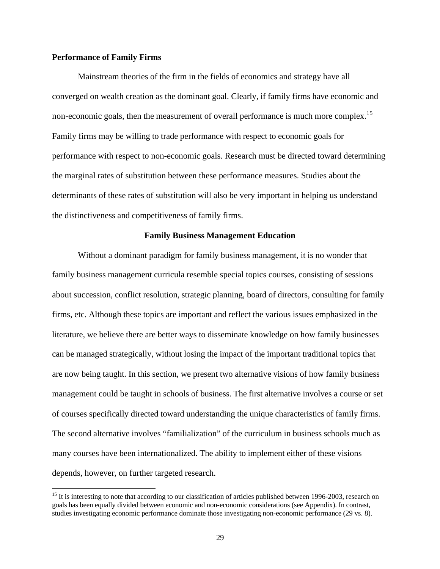### **Performance of Family Firms**

 $\overline{a}$ 

Mainstream theories of the firm in the fields of economics and strategy have all converged on wealth creation as the dominant goal. Clearly, if family firms have economic and non-economic goals, then the measurement of overall performance is much more complex.<sup>15</sup> Family firms may be willing to trade performance with respect to economic goals for performance with respect to non-economic goals. Research must be directed toward determining the marginal rates of substitution between these performance measures. Studies about the determinants of these rates of substitution will also be very important in helping us understand the distinctiveness and competitiveness of family firms.

### **Family Business Management Education**

Without a dominant paradigm for family business management, it is no wonder that family business management curricula resemble special topics courses, consisting of sessions about succession, conflict resolution, strategic planning, board of directors, consulting for family firms, etc. Although these topics are important and reflect the various issues emphasized in the literature, we believe there are better ways to disseminate knowledge on how family businesses can be managed strategically, without losing the impact of the important traditional topics that are now being taught. In this section, we present two alternative visions of how family business management could be taught in schools of business. The first alternative involves a course or set of courses specifically directed toward understanding the unique characteristics of family firms. The second alternative involves "familialization" of the curriculum in business schools much as many courses have been internationalized. The ability to implement either of these visions depends, however, on further targeted research.

<sup>&</sup>lt;sup>15</sup> It is interesting to note that according to our classification of articles published between 1996-2003, research on goals has been equally divided between economic and non-economic considerations (see Appendix). In contrast, studies investigating economic performance dominate those investigating non-economic performance (29 vs. 8).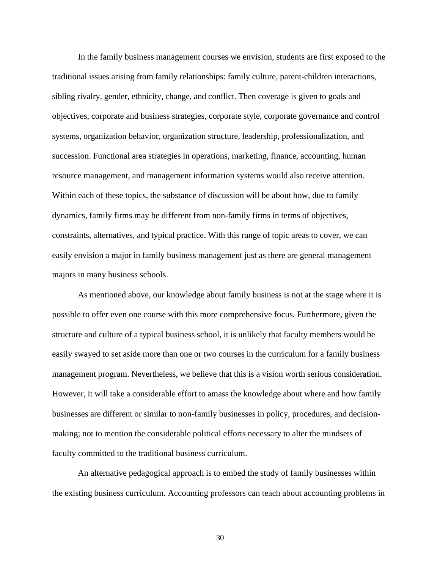In the family business management courses we envision, students are first exposed to the traditional issues arising from family relationships: family culture, parent-children interactions, sibling rivalry, gender, ethnicity, change, and conflict. Then coverage is given to goals and objectives, corporate and business strategies, corporate style, corporate governance and control systems, organization behavior, organization structure, leadership, professionalization, and succession. Functional area strategies in operations, marketing, finance, accounting, human resource management, and management information systems would also receive attention. Within each of these topics, the substance of discussion will be about how, due to family dynamics, family firms may be different from non-family firms in terms of objectives, constraints, alternatives, and typical practice. With this range of topic areas to cover, we can easily envision a major in family business management just as there are general management majors in many business schools.

As mentioned above, our knowledge about family business is not at the stage where it is possible to offer even one course with this more comprehensive focus. Furthermore, given the structure and culture of a typical business school, it is unlikely that faculty members would be easily swayed to set aside more than one or two courses in the curriculum for a family business management program. Nevertheless, we believe that this is a vision worth serious consideration. However, it will take a considerable effort to amass the knowledge about where and how family businesses are different or similar to non-family businesses in policy, procedures, and decisionmaking; not to mention the considerable political efforts necessary to alter the mindsets of faculty committed to the traditional business curriculum.

An alternative pedagogical approach is to embed the study of family businesses within the existing business curriculum. Accounting professors can teach about accounting problems in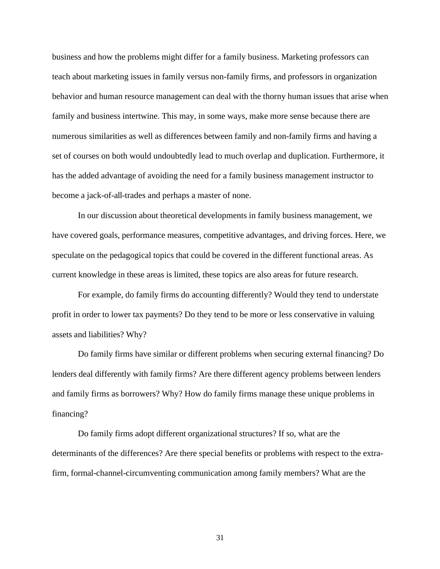business and how the problems might differ for a family business. Marketing professors can teach about marketing issues in family versus non-family firms, and professors in organization behavior and human resource management can deal with the thorny human issues that arise when family and business intertwine. This may, in some ways, make more sense because there are numerous similarities as well as differences between family and non-family firms and having a set of courses on both would undoubtedly lead to much overlap and duplication. Furthermore, it has the added advantage of avoiding the need for a family business management instructor to become a jack-of-all-trades and perhaps a master of none.

In our discussion about theoretical developments in family business management, we have covered goals, performance measures, competitive advantages, and driving forces. Here, we speculate on the pedagogical topics that could be covered in the different functional areas. As current knowledge in these areas is limited, these topics are also areas for future research.

For example, do family firms do accounting differently? Would they tend to understate profit in order to lower tax payments? Do they tend to be more or less conservative in valuing assets and liabilities? Why?

Do family firms have similar or different problems when securing external financing? Do lenders deal differently with family firms? Are there different agency problems between lenders and family firms as borrowers? Why? How do family firms manage these unique problems in financing?

Do family firms adopt different organizational structures? If so, what are the determinants of the differences? Are there special benefits or problems with respect to the extrafirm, formal-channel-circumventing communication among family members? What are the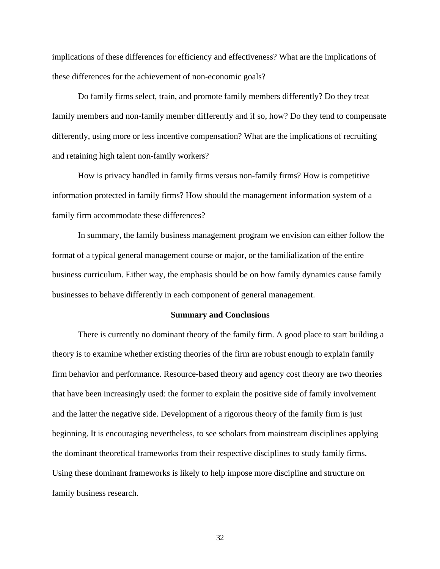implications of these differences for efficiency and effectiveness? What are the implications of these differences for the achievement of non-economic goals?

Do family firms select, train, and promote family members differently? Do they treat family members and non-family member differently and if so, how? Do they tend to compensate differently, using more or less incentive compensation? What are the implications of recruiting and retaining high talent non-family workers?

How is privacy handled in family firms versus non-family firms? How is competitive information protected in family firms? How should the management information system of a family firm accommodate these differences?

In summary, the family business management program we envision can either follow the format of a typical general management course or major, or the familialization of the entire business curriculum. Either way, the emphasis should be on how family dynamics cause family businesses to behave differently in each component of general management.

#### **Summary and Conclusions**

There is currently no dominant theory of the family firm. A good place to start building a theory is to examine whether existing theories of the firm are robust enough to explain family firm behavior and performance. Resource-based theory and agency cost theory are two theories that have been increasingly used: the former to explain the positive side of family involvement and the latter the negative side. Development of a rigorous theory of the family firm is just beginning. It is encouraging nevertheless, to see scholars from mainstream disciplines applying the dominant theoretical frameworks from their respective disciplines to study family firms. Using these dominant frameworks is likely to help impose more discipline and structure on family business research.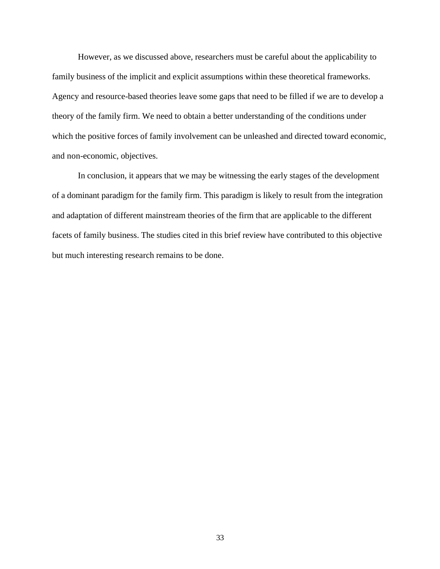However, as we discussed above, researchers must be careful about the applicability to family business of the implicit and explicit assumptions within these theoretical frameworks. Agency and resource-based theories leave some gaps that need to be filled if we are to develop a theory of the family firm. We need to obtain a better understanding of the conditions under which the positive forces of family involvement can be unleashed and directed toward economic, and non-economic, objectives.

In conclusion, it appears that we may be witnessing the early stages of the development of a dominant paradigm for the family firm. This paradigm is likely to result from the integration and adaptation of different mainstream theories of the firm that are applicable to the different facets of family business. The studies cited in this brief review have contributed to this objective but much interesting research remains to be done.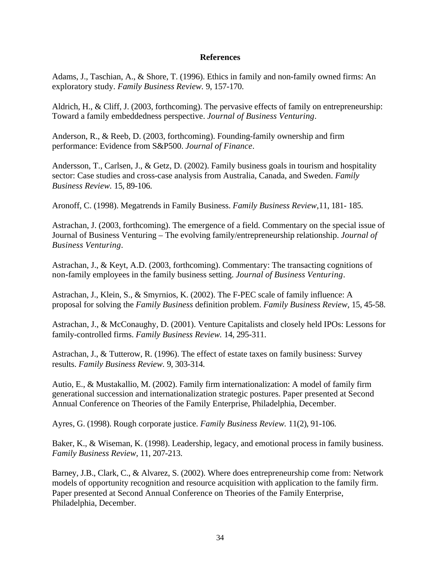### **References**

Adams, J., Taschian, A., & Shore, T. (1996). Ethics in family and non-family owned firms: An exploratory study. *Family Business Review.* 9, 157-170.

Aldrich, H., & Cliff, J. (2003, forthcoming). The pervasive effects of family on entrepreneurship: Toward a family embeddedness perspective. *Journal of Business Venturing*.

Anderson, R., & Reeb, D. (2003, forthcoming). Founding-family ownership and firm performance: Evidence from S&P500. *Journal of Finance*.

Andersson, T., Carlsen, J., & Getz, D. (2002). Family business goals in tourism and hospitality sector: Case studies and cross-case analysis from Australia, Canada, and Sweden. *Family Business Review.* 15, 89-106.

Aronoff, C. (1998). Megatrends in Family Business. *Family Business Review,*11, 181- 185.

Astrachan, J. (2003, forthcoming). The emergence of a field. Commentary on the special issue of Journal of Business Venturing – The evolving family/entrepreneurship relationship. *Journal of Business Venturing*.

Astrachan, J., & Keyt, A.D. (2003, forthcoming). Commentary: The transacting cognitions of non-family employees in the family business setting. *Journal of Business Venturing*.

Astrachan, J., Klein, S., & Smyrnios, K. (2002). The F-PEC scale of family influence: A proposal for solving the *Family Business* definition problem. *Family Business Review,* 15, 45-58.

Astrachan, J., & McConaughy, D. (2001). Venture Capitalists and closely held IPOs: Lessons for family-controlled firms. *Family Business Review.* 14, 295-311.

Astrachan, J., & Tutterow, R. (1996). The effect of estate taxes on family business: Survey results. *Family Business Review.* 9, 303-314.

Autio, E., & Mustakallio, M. (2002). Family firm internationalization: A model of family firm generational succession and internationalization strategic postures. Paper presented at Second Annual Conference on Theories of the Family Enterprise, Philadelphia, December.

Ayres, G. (1998). Rough corporate justice. *Family Business Review.* 11(2), 91-106.

Baker, K., & Wiseman, K. (1998). Leadership, legacy, and emotional process in family business. *Family Business Review,* 11, 207-213.

Barney, J.B., Clark, C., & Alvarez, S. (2002). Where does entrepreneurship come from: Network models of opportunity recognition and resource acquisition with application to the family firm. Paper presented at Second Annual Conference on Theories of the Family Enterprise, Philadelphia, December.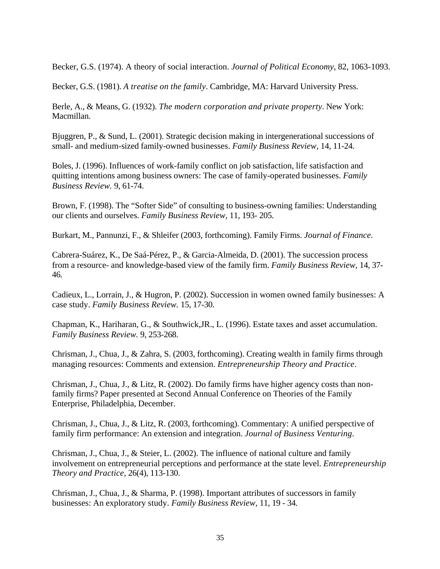Becker, G.S. (1974). A theory of social interaction. *Journal of Political Economy*, 82, 1063-1093.

Becker, G.S. (1981). *A treatise on the family*. Cambridge, MA: Harvard University Press.

Berle, A., & Means, G. (1932). *The modern corporation and private property*. New York: Macmillan.

Bjuggren, P., & Sund, L. (2001). Strategic decision making in intergenerational successions of small- and medium-sized family-owned businesses. *Family Business Review,* 14, 11-24.

Boles, J. (1996). Influences of work-family conflict on job satisfaction, life satisfaction and quitting intentions among business owners: The case of family-operated businesses. *Family Business Review.* 9, 61-74.

Brown, F. (1998). The "Softer Side" of consulting to business-owning families: Understanding our clients and ourselves. *Family Business Review,* 11, 193- 205.

Burkart, M., Pannunzi, F., & Shleifer (2003, forthcoming). Family Firms. *Journal of Finance.*

Cabrera-Suárez, K., De Saá-Pérez, P., & Garcia-Almeida, D. (2001). The succession process from a resource- and knowledge-based view of the family firm. *Family Business Review,* 14, 37- 46.

Cadieux, L., Lorrain, J., & Hugron, P. (2002). Succession in women owned family businesses: A case study. *Family Business Review.* 15, 17-30.

Chapman, K., Hariharan, G., & Southwick,JR., L. (1996). Estate taxes and asset accumulation. *Family Business Review.* 9, 253-268.

Chrisman, J., Chua, J., & Zahra, S. (2003, forthcoming). Creating wealth in family firms through managing resources: Comments and extension. *Entrepreneurship Theory and Practice*.

Chrisman, J., Chua, J., & Litz, R. (2002). Do family firms have higher agency costs than nonfamily firms? Paper presented at Second Annual Conference on Theories of the Family Enterprise, Philadelphia, December.

Chrisman, J., Chua, J., & Litz, R. (2003, forthcoming). Commentary: A unified perspective of family firm performance: An extension and integration. *Journal of Business Venturing*.

Chrisman, J., Chua, J., & Steier, L. (2002). The influence of national culture and family involvement on entrepreneurial perceptions and performance at the state level. *Entrepreneurship Theory and Practice,* 26(4), 113-130.

Chrisman, J., Chua, J., & Sharma, P. (1998). Important attributes of successors in family businesses: An exploratory study. *Family Business Review,* 11, 19 - 34.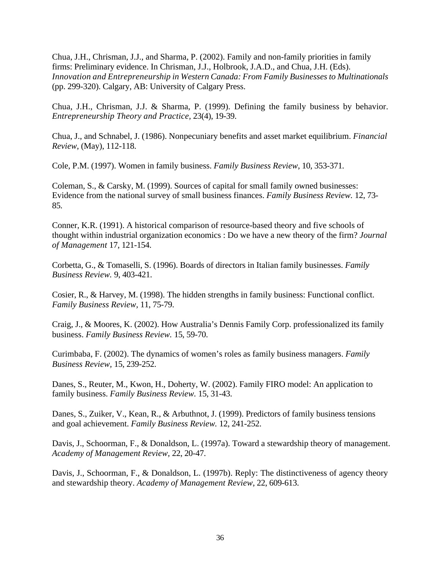Chua, J.H., Chrisman, J.J., and Sharma, P. (2002). Family and non-family priorities in family firms: Preliminary evidence. In Chrisman, J.J., Holbrook, J.A.D., and Chua, J.H. (Eds). *Innovation and Entrepreneurship in Western Canada: From Family Businesses to Multinationals* (pp. 299-320). Calgary, AB: University of Calgary Press.

Chua, J.H., Chrisman, J.J. & Sharma, P. (1999). Defining the family business by behavior. *Entrepreneurship Theory and Practice,* 23(4), 19-39.

Chua, J., and Schnabel, J. (1986). Nonpecuniary benefits and asset market equilibrium. *Financial Review*, (May), 112-118.

Cole, P.M. (1997). Women in family business. *Family Business Review*, 10, 353-371.

Coleman, S., & Carsky, M. (1999). Sources of capital for small family owned businesses: Evidence from the national survey of small business finances. *Family Business Review.* 12, 73- 85.

Conner, K.R. (1991). A historical comparison of resource-based theory and five schools of thought within industrial organization economics : Do we have a new theory of the firm? *Journal of Management* 17, 121-154.

Corbetta, G., & Tomaselli, S. (1996). Boards of directors in Italian family businesses. *Family Business Review.* 9, 403-421.

Cosier, R., & Harvey, M. (1998). The hidden strengths in family business: Functional conflict. *Family Business Review,* 11, 75-79.

Craig, J., & Moores, K. (2002). How Australia's Dennis Family Corp. professionalized its family business. *Family Business Review.* 15, 59-70.

Curimbaba, F. (2002). The dynamics of women's roles as family business managers. *Family Business Review,* 15, 239-252.

Danes, S., Reuter, M., Kwon, H., Doherty, W. (2002). Family FIRO model: An application to family business. *Family Business Review.* 15, 31-43.

Danes, S., Zuiker, V., Kean, R., & Arbuthnot, J. (1999). Predictors of family business tensions and goal achievement. *Family Business Review.* 12, 241-252.

Davis, J., Schoorman, F., & Donaldson, L. (1997a). Toward a stewardship theory of management. *Academy of Management Review,* 22, 20-47.

Davis, J., Schoorman, F., & Donaldson, L. (1997b). Reply: The distinctiveness of agency theory and stewardship theory. *Academy of Management Review*, 22, 609-613.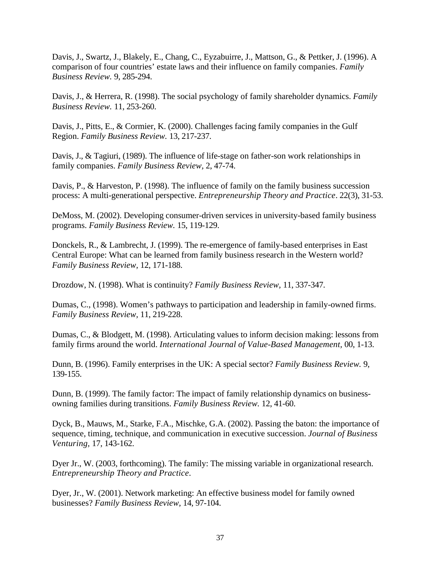Davis, J., Swartz, J., Blakely, E., Chang, C., Eyzabuirre, J., Mattson, G., & Pettker, J. (1996). A comparison of four countries' estate laws and their influence on family companies. *Family Business Review.* 9, 285-294.

Davis, J., & Herrera, R. (1998). The social psychology of family shareholder dynamics. *Family Business Review.* 11, 253-260.

Davis, J., Pitts, E., & Cormier, K. (2000). Challenges facing family companies in the Gulf Region. *Family Business Review.* 13, 217-237.

Davis, J., & Tagiuri, (1989). The influence of life-stage on father-son work relationships in family companies. *Family Business Review,* 2, 47-74.

Davis, P., & Harveston, P. (1998). The influence of family on the family business succession process: A multi-generational perspective. *Entrepreneurship Theory and Practice*. 22(3), 31-53.

DeMoss, M. (2002). Developing consumer-driven services in university-based family business programs. *Family Business Review.* 15, 119-129.

Donckels, R., & Lambrecht, J. (1999). The re-emergence of family-based enterprises in East Central Europe: What can be learned from family business research in the Western world? *Family Business Review,* 12, 171-188.

Drozdow, N. (1998). What is continuity? *Family Business Review,* 11, 337-347.

Dumas, C., (1998). Women's pathways to participation and leadership in family-owned firms. *Family Business Review,* 11, 219-228.

Dumas, C., & Blodgett, M. (1998). Articulating values to inform decision making: lessons from family firms around the world. *International Journal of Value-Based Management,* 00, 1-13.

Dunn, B. (1996). Family enterprises in the UK: A special sector? *Family Business Review.* 9, 139-155.

Dunn, B. (1999). The family factor: The impact of family relationship dynamics on businessowning families during transitions. *Family Business Review.* 12, 41-60.

Dyck, B., Mauws, M., Starke, F.A., Mischke, G.A. (2002). Passing the baton: the importance of sequence, timing, technique, and communication in executive succession. *Journal of Business Venturing,* 17, 143-162.

Dyer Jr., W. (2003, forthcoming). The family: The missing variable in organizational research. *Entrepreneurship Theory and Practice*.

Dyer, Jr., W. (2001). Network marketing: An effective business model for family owned businesses? *Family Business Review,* 14, 97-104.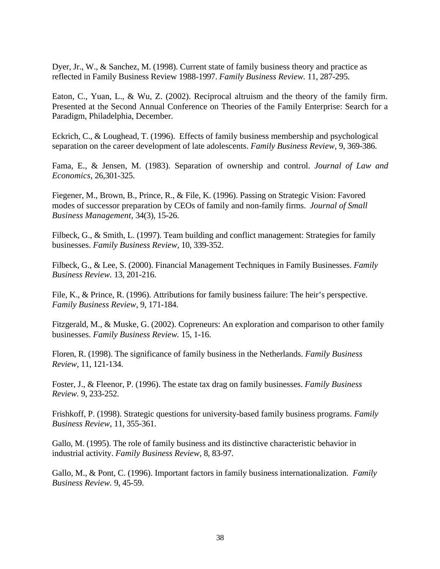Dyer, Jr., W., & Sanchez, M. (1998). Current state of family business theory and practice as reflected in Family Business Review 1988-1997. *Family Business Review.* 11, 287-295.

Eaton, C., Yuan, L., & Wu, Z. (2002). Reciprocal altruism and the theory of the family firm. Presented at the Second Annual Conference on Theories of the Family Enterprise: Search for a Paradigm, Philadelphia, December.

Eckrich, C., & Loughead, T. (1996). Effects of family business membership and psychological separation on the career development of late adolescents. *Family Business Review,* 9, 369-386.

Fama, E., & Jensen, M. (1983). Separation of ownership and control. *Journal of Law and Economics,* 26,301-325.

Fiegener, M., Brown, B., Prince, R., & File, K. (1996). Passing on Strategic Vision: Favored modes of successor preparation by CEOs of family and non-family firms. *Journal of Small Business Management,* 34(3), 15-26.

Filbeck, G., & Smith, L. (1997). Team building and conflict management: Strategies for family businesses. *Family Business Review*, 10, 339-352.

Filbeck, G., & Lee, S. (2000). Financial Management Techniques in Family Businesses. *Family Business Review.* 13, 201-216.

File, K., & Prince, R. (1996). Attributions for family business failure: The heir's perspective. *Family Business Review,* 9, 171-184.

Fitzgerald, M., & Muske, G. (2002). Copreneurs: An exploration and comparison to other family businesses. *Family Business Review.* 15, 1-16.

Floren, R. (1998). The significance of family business in the Netherlands. *Family Business Review,* 11, 121-134.

Foster, J., & Fleenor, P. (1996). The estate tax drag on family businesses. *Family Business Review.* 9, 233-252.

Frishkoff, P. (1998). Strategic questions for university-based family business programs. *Family Business Review,* 11, 355-361.

Gallo, M. (1995). The role of family business and its distinctive characteristic behavior in industrial activity. *Family Business Review,* 8, 83-97.

Gallo, M., & Pont, C. (1996). Important factors in family business internationalization.*Family Business Review.* 9, 45-59.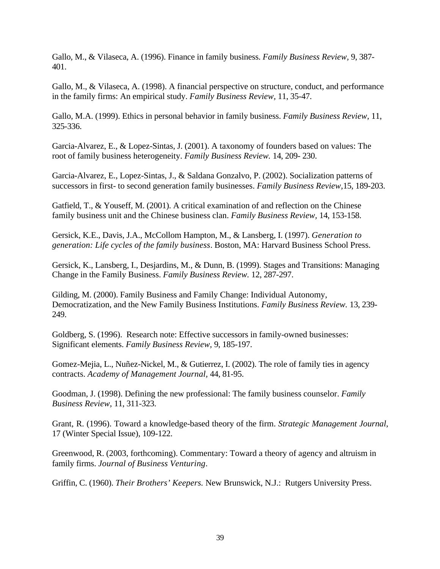Gallo, M., & Vilaseca, A. (1996). Finance in family business. *Family Business Review,* 9, 387- 401.

Gallo, M., & Vilaseca, A. (1998). A financial perspective on structure, conduct, and performance in the family firms: An empirical study. *Family Business Review,* 11, 35-47.

Gallo, M.A. (1999). Ethics in personal behavior in family business. *Family Business Review,* 11, 325-336.

Garcia-Alvarez, E., & Lopez-Sintas, J. (2001). A taxonomy of founders based on values: The root of family business heterogeneity. *Family Business Review.* 14, 209- 230.

Garcia-Alvarez, E., Lopez-Sintas, J., & Saldana Gonzalvo, P. (2002). Socialization patterns of successors in first- to second generation family businesses. *Family Business Review,*15, 189-203.

Gatfield, T., & Youseff, M. (2001). A critical examination of and reflection on the Chinese family business unit and the Chinese business clan. *Family Business Review,* 14, 153-158.

Gersick, K.E., Davis, J.A., McCollom Hampton, M., & Lansberg, I. (1997). *Generation to generation: Life cycles of the family business*. Boston, MA: Harvard Business School Press.

Gersick, K., Lansberg, I., Desjardins, M., & Dunn, B. (1999). Stages and Transitions: Managing Change in the Family Business. *Family Business Review.* 12, 287-297.

Gilding, M. (2000). Family Business and Family Change: Individual Autonomy, Democratization, and the New Family Business Institutions. *Family Business Review.* 13, 239- 249.

Goldberg, S. (1996). Research note: Effective successors in family-owned businesses: Significant elements. *Family Business Review,* 9, 185-197.

Gomez-Mejia, L., Nuñez-Nickel, M., & Gutierrez, I. (2002). The role of family ties in agency contracts. *Academy of Management Journal,* 44, 81-95.

Goodman, J. (1998). Defining the new professional: The family business counselor. *Family Business Review,* 11, 311-323.

Grant, R. (1996). Toward a knowledge-based theory of the firm. *Strategic Management Journal*, 17 (Winter Special Issue), 109-122.

Greenwood, R. (2003, forthcoming). Commentary: Toward a theory of agency and altruism in family firms. *Journal of Business Venturing*.

Griffin, C. (1960). *Their Brothers' Keepers.* New Brunswick, N.J.: Rutgers University Press.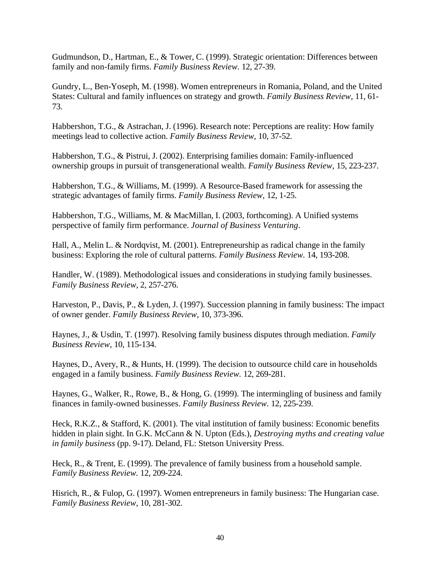Gudmundson, D., Hartman, E., & Tower, C. (1999). Strategic orientation: Differences between family and non-family firms. *Family Business Review.* 12, 27-39.

Gundry, L., Ben-Yoseph, M. (1998). Women entrepreneurs in Romania, Poland, and the United States: Cultural and family influences on strategy and growth. *Family Business Review,* 11, 61- 73.

Habbershon, T.G., & Astrachan, J. (1996). Research note: Perceptions are reality: How family meetings lead to collective action. *Family Business Review,* 10, 37-52.

Habbershon, T.G., & Pistrui, J. (2002). Enterprising families domain: Family-influenced ownership groups in pursuit of transgenerational wealth. *Family Business Review,* 15, 223-237.

Habbershon, T.G., & Williams, M. (1999). A Resource-Based framework for assessing the strategic advantages of family firms. *Family Business Review,* 12, 1-25.

Habbershon, T.G., Williams, M. & MacMillan, I. (2003, forthcoming). A Unified systems perspective of family firm performance. *Journal of Business Venturing*.

Hall, A., Melin L. & Nordqvist, M. (2001). Entrepreneurship as radical change in the family business: Exploring the role of cultural patterns. *Family Business Review.* 14, 193-208.

Handler, W. (1989). Methodological issues and considerations in studying family businesses. *Family Business Review*, 2, 257-276.

Harveston, P., Davis, P., & Lyden, J. (1997). Succession planning in family business: The impact of owner gender. *Family Business Review,* 10, 373-396.

Haynes, J., & Usdin, T. (1997). Resolving family business disputes through mediation. *Family Business Review,* 10, 115-134.

Haynes, D., Avery, R., & Hunts, H. (1999). The decision to outsource child care in households engaged in a family business. *Family Business Review.* 12, 269-281.

Haynes, G., Walker, R., Rowe, B., & Hong, G. (1999). The intermingling of business and family finances in family-owned businesses. *Family Business Review.* 12, 225-239.

Heck, R.K.Z., & Stafford, K. (2001). The vital institution of family business: Economic benefits hidden in plain sight. In G.K. McCann & N. Upton (Eds.), *Destroying myths and creating value in family business* (pp. 9-17). Deland, FL: Stetson University Press.

Heck, R., & Trent, E. (1999). The prevalence of family business from a household sample. *Family Business Review.* 12, 209-224.

Hisrich, R., & Fulop, G. (1997). Women entrepreneurs in family business: The Hungarian case. *Family Business Review,* 10, 281-302.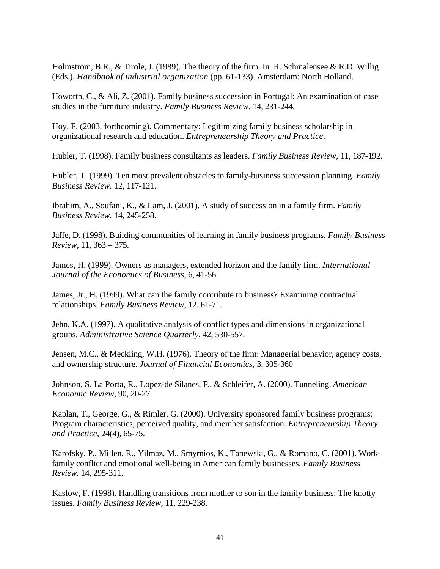Holmstrom, B.R., & Tirole, J. (1989). The theory of the firm. In R. Schmalensee & R.D. Willig (Eds.), *Handbook of industrial organization* (pp. 61-133). Amsterdam: North Holland.

Howorth, C., & Ali, Z. (2001). Family business succession in Portugal: An examination of case studies in the furniture industry. *Family Business Review.* 14, 231-244.

Hoy, F. (2003, forthcoming). Commentary: Legitimizing family business scholarship in organizational research and education. *Entrepreneurship Theory and Practice*.

Hubler, T. (1998). Family business consultants as leaders. *Family Business Review,* 11, 187-192.

Hubler, T. (1999). Ten most prevalent obstacles to family-business succession planning. *Family Business Review.* 12, 117-121.

Ibrahim, A., Soufani, K., & Lam, J. (2001). A study of succession in a family firm. *Family Business Review.* 14, 245-258.

Jaffe, D. (1998). Building communities of learning in family business programs. *Family Business Review,* 11, 363 – 375.

James, H. (1999). Owners as managers, extended horizon and the family firm. *International Journal of the Economics of Business*, 6, 41-56.

James, Jr., H. (1999). What can the family contribute to business? Examining contractual relationships. *Family Business Review,* 12, 61-71.

Jehn, K.A. (1997). A qualitative analysis of conflict types and dimensions in organizational groups. *Administrative Science Quarterly*, 42, 530-557.

Jensen, M.C., & Meckling, W.H. (1976). Theory of the firm: Managerial behavior, agency costs, and ownership structure. *Journal of Financial Economics,* 3, 305-360

Johnson, S. La Porta, R., Lopez-de Silanes, F., & Schleifer, A. (2000). Tunneling. *American Economic Review*, 90, 20-27.

Kaplan, T., George, G., & Rimler, G. (2000). University sponsored family business programs: Program characteristics, perceived quality, and member satisfaction. *Entrepreneurship Theory and Practice,* 24(4), 65-75.

Karofsky, P., Millen, R., Yilmaz, M., Smyrnios, K., Tanewski, G., & Romano, C. (2001). Workfamily conflict and emotional well-being in American family businesses. *Family Business Review.* 14, 295-311.

Kaslow, F. (1998). Handling transitions from mother to son in the family business: The knotty issues. *Family Business Review,* 11, 229-238.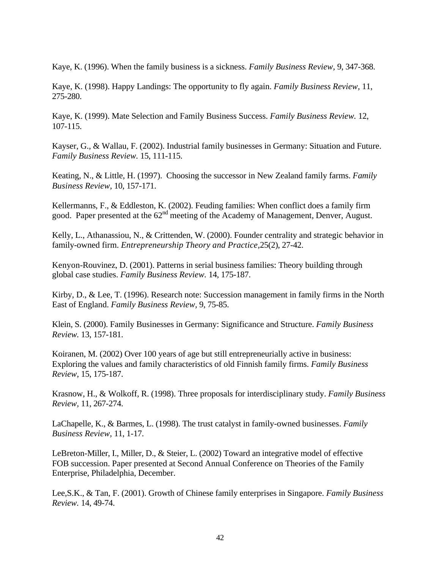Kaye, K. (1996). When the family business is a sickness. *Family Business Review,* 9, 347-368.

Kaye, K. (1998). Happy Landings: The opportunity to fly again. *Family Business Review,* 11, 275-280.

Kaye, K. (1999). Mate Selection and Family Business Success. *Family Business Review.* 12, 107-115.

Kayser, G., & Wallau, F. (2002). Industrial family businesses in Germany: Situation and Future. *Family Business Review.* 15, 111-115.

Keating, N., & Little, H. (1997). Choosing the successor in New Zealand family farms. *Family Business Review,* 10, 157-171.

Kellermanns, F., & Eddleston, K. (2002). Feuding families: When conflict does a family firm good. Paper presented at the  $62<sup>nd</sup>$  meeting of the Academy of Management, Denver, August.

Kelly, L., Athanassiou, N., & Crittenden, W. (2000). Founder centrality and strategic behavior in family-owned firm. *Entrepreneurship Theory and Practice,*25(2), 27-42.

Kenyon-Rouvinez, D. (2001). Patterns in serial business families: Theory building through global case studies. *Family Business Review.* 14, 175-187.

Kirby, D., & Lee, T. (1996). Research note: Succession management in family firms in the North East of England. *Family Business Review,* 9, 75-85.

Klein, S. (2000). Family Businesses in Germany: Significance and Structure. *Family Business Review.* 13, 157-181.

Koiranen, M. (2002) Over 100 years of age but still entrepreneurially active in business: Exploring the values and family characteristics of old Finnish family firms. *Family Business Review,* 15, 175-187.

Krasnow, H., & Wolkoff, R. (1998). Three proposals for interdisciplinary study. *Family Business Review,* 11, 267-274.

LaChapelle, K., & Barmes, L. (1998). The trust catalyst in family-owned businesses. *Family Business Review,* 11, 1-17.

LeBreton-Miller, I., Miller, D., & Steier, L. (2002) Toward an integrative model of effective FOB succession. Paper presented at Second Annual Conference on Theories of the Family Enterprise, Philadelphia, December.

Lee,S.K., & Tan, F. (2001). Growth of Chinese family enterprises in Singapore. *Family Business Review.* 14, 49-74.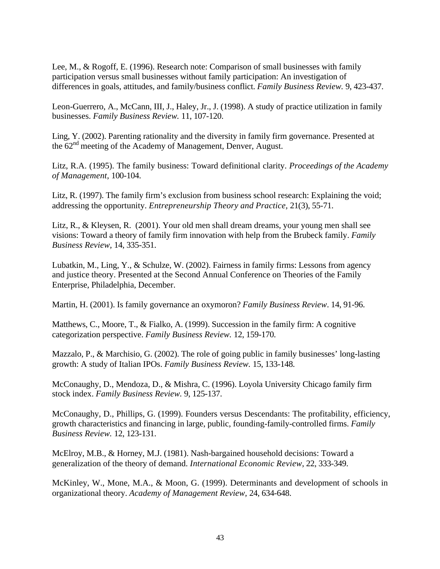Lee, M., & Rogoff, E. (1996). Research note: Comparison of small businesses with family participation versus small businesses without family participation: An investigation of differences in goals, attitudes, and family/business conflict. *Family Business Review.* 9, 423-437.

Leon-Guerrero, A., McCann, III, J., Haley, Jr., J. (1998). A study of practice utilization in family businesses. *Family Business Review.* 11, 107-120.

Ling, Y. (2002). Parenting rationality and the diversity in family firm governance. Presented at the 62<sup>nd</sup> meeting of the Academy of Management, Denver, August.

Litz, R.A. (1995). The family business: Toward definitional clarity. *Proceedings of the Academy of Management,* 100-104.

Litz, R. (1997). The family firm's exclusion from business school research: Explaining the void; addressing the opportunity. *Entrepreneurship Theory and Practice,* 21(3), 55-71.

Litz, R., & Kleysen, R. (2001). Your old men shall dream dreams, your young men shall see visions: Toward a theory of family firm innovation with help from the Brubeck family. *Family Business Review,* 14, 335-351.

Lubatkin, M., Ling, Y., & Schulze, W. (2002). Fairness in family firms: Lessons from agency and justice theory. Presented at the Second Annual Conference on Theories of the Family Enterprise, Philadelphia, December.

Martin, H. (2001). Is family governance an oxymoron? *Family Business Review*. 14, 91-96.

Matthews, C., Moore, T., & Fialko, A. (1999). Succession in the family firm: A cognitive categorization perspective. *Family Business Review.* 12, 159-170.

Mazzalo, P., & Marchisio, G. (2002). The role of going public in family businesses' long-lasting growth: A study of Italian IPOs. *Family Business Review.* 15, 133-148.

McConaughy, D., Mendoza, D., & Mishra, C. (1996). Loyola University Chicago family firm stock index. *Family Business Review.* 9, 125-137.

McConaughy, D., Phillips, G. (1999). Founders versus Descendants: The profitability, efficiency, growth characteristics and financing in large, public, founding-family-controlled firms. *Family Business Review.* 12, 123-131.

McElroy, M.B., & Horney, M.J. (1981). Nash-bargained household decisions: Toward a generalization of the theory of demand. *International Economic Review*, 22, 333-349.

McKinley, W., Mone, M.A., & Moon, G. (1999). Determinants and development of schools in organizational theory. *Academy of Management Review,* 24, 634-648.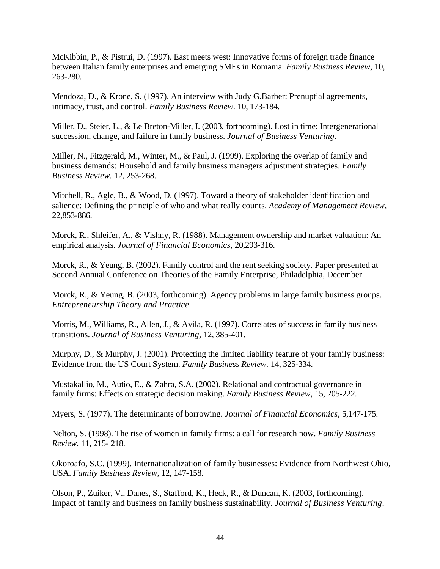McKibbin, P., & Pistrui, D. (1997). East meets west: Innovative forms of foreign trade finance between Italian family enterprises and emerging SMEs in Romania. *Family Business Review,* 10, 263-280.

Mendoza, D., & Krone, S. (1997). An interview with Judy G.Barber: Prenuptial agreements, intimacy, trust, and control. *Family Business Review.* 10, 173-184.

Miller, D., Steier, L., & Le Breton-Miller, I. (2003, forthcoming). Lost in time: Intergenerational succession, change, and failure in family business. *Journal of Business Venturing*.

Miller, N., Fitzgerald, M., Winter, M., & Paul, J. (1999). Exploring the overlap of family and business demands: Household and family business managers adjustment strategies. *Family Business Review.* 12, 253-268.

Mitchell, R., Agle, B., & Wood, D. (1997). Toward a theory of stakeholder identification and salience: Defining the principle of who and what really counts. *Academy of Management Review,* 22,853-886.

Morck, R., Shleifer, A., & Vishny, R. (1988). Management ownership and market valuation: An empirical analysis. *Journal of Financial Economics,* 20,293-316.

Morck, R., & Yeung, B. (2002). Family control and the rent seeking society. Paper presented at Second Annual Conference on Theories of the Family Enterprise, Philadelphia, December.

Morck, R., & Yeung, B. (2003, forthcoming). Agency problems in large family business groups. *Entrepreneurship Theory and Practice*.

Morris, M., Williams, R., Allen, J., & Avila, R. (1997). Correlates of success in family business transitions. *Journal of Business Venturing,* 12, 385-401.

Murphy, D., & Murphy, J. (2001). Protecting the limited liability feature of your family business: Evidence from the US Court System. *Family Business Review.* 14, 325-334.

Mustakallio, M., Autio, E., & Zahra, S.A. (2002). Relational and contractual governance in family firms: Effects on strategic decision making. *Family Business Review,* 15, 205-222.

Myers, S. (1977). The determinants of borrowing. *Journal of Financial Economics,* 5,147-175.

Nelton, S. (1998). The rise of women in family firms: a call for research now. *Family Business Review.* 11, 215- 218.

Okoroafo, S.C. (1999). Internationalization of family businesses: Evidence from Northwest Ohio, USA. *Family Business Review*, 12, 147-158.

Olson, P., Zuiker, V., Danes, S., Stafford, K., Heck, R., & Duncan, K. (2003, forthcoming). Impact of family and business on family business sustainability. *Journal of Business Venturing*.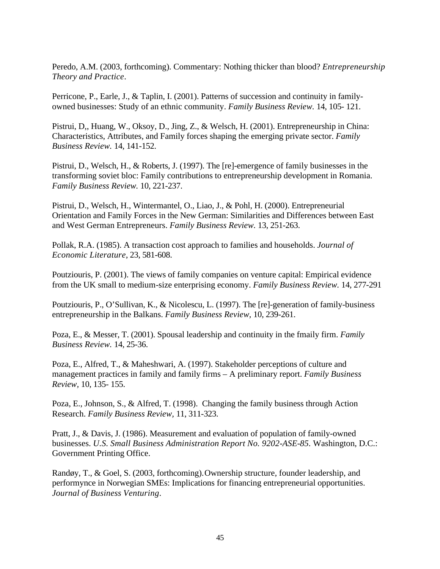Peredo, A.M. (2003, forthcoming). Commentary: Nothing thicker than blood? *Entrepreneurship Theory and Practice*.

Perricone, P., Earle, J., & Taplin, I. (2001). Patterns of succession and continuity in familyowned businesses: Study of an ethnic community. *Family Business Review.* 14, 105- 121.

Pistrui, D,, Huang, W., Oksoy, D., Jing, Z., & Welsch, H. (2001). Entrepreneurship in China: Characteristics, Attributes, and Family forces shaping the emerging private sector. *Family Business Review.* 14, 141-152.

Pistrui, D., Welsch, H., & Roberts, J. (1997). The [re]-emergence of family businesses in the transforming soviet bloc: Family contributions to entrepreneurship development in Romania. *Family Business Review.* 10, 221-237.

Pistrui, D., Welsch, H., Wintermantel, O., Liao, J., & Pohl, H. (2000). Entrepreneurial Orientation and Family Forces in the New German: Similarities and Differences between East and West German Entrepreneurs. *Family Business Review.* 13, 251-263.

Pollak, R.A. (1985). A transaction cost approach to families and households. *Journal of Economic Literature*, 23, 581-608.

Poutziouris, P. (2001). The views of family companies on venture capital: Empirical evidence from the UK small to medium-size enterprising economy. *Family Business Review.* 14, 277-291

Poutziouris, P., O'Sullivan, K., & Nicolescu, L. (1997). The [re]-generation of family-business entrepreneurship in the Balkans. *Family Business Review,* 10, 239-261.

Poza, E., & Messer, T. (2001). Spousal leadership and continuity in the fmaily firm. *Family Business Review.* 14, 25-36.

Poza, E., Alfred, T., & Maheshwari, A. (1997). Stakeholder perceptions of culture and management practices in family and family firms – A preliminary report. *Family Business Review,* 10, 135- 155.

Poza, E., Johnson, S., & Alfred, T. (1998). Changing the family business through Action Research. *Family Business Review,* 11, 311-323.

Pratt, J., & Davis, J. (1986). Measurement and evaluation of population of family-owned businesses. *U.S. Small Business Administration Report No. 9202-ASE-85.* Washington, D.C.: Government Printing Office.

Randøy, T., & Goel, S. (2003, forthcoming). Ownership structure, founder leadership, and performynce in Norwegian SMEs: Implications for financing entrepreneurial opportunities. *Journal of Business Venturing*.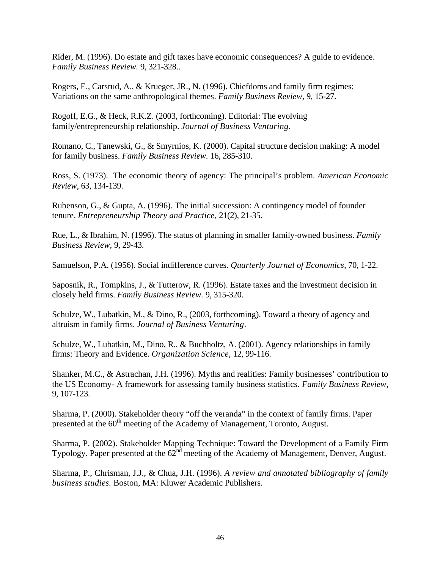Rider, M. (1996). Do estate and gift taxes have economic consequences? A guide to evidence. *Family Business Review.* 9, 321-328..

Rogers, E., Carsrud, A., & Krueger, JR., N. (1996). Chiefdoms and family firm regimes: Variations on the same anthropological themes. *Family Business Review,* 9, 15-27.

Rogoff, E.G., & Heck, R.K.Z. (2003, forthcoming). Editorial: The evolving family/entrepreneurship relationship. *Journal of Business Venturing*.

Romano, C., Tanewski, G., & Smyrnios, K. (2000). Capital structure decision making: A model for family business. *Family Business Review.* 16, 285-310.

Ross, S. (1973). The economic theory of agency: The principal's problem. *American Economic Review,* 63, 134-139.

Rubenson, G., & Gupta, A. (1996). The initial succession: A contingency model of founder tenure. *Entrepreneurship Theory and Practice,* 21(2), 21-35.

Rue, L., & Ibrahim, N. (1996). The status of planning in smaller family-owned business. *Family Business Review,* 9, 29-43.

Samuelson, P.A. (1956). Social indifference curves. *Quarterly Journal of Economics*, 70, 1-22.

Saposnik, R., Tompkins, J., & Tutterow, R. (1996). Estate taxes and the investment decision in closely held firms. *Family Business Review.* 9, 315-320.

Schulze, W., Lubatkin, M., & Dino, R., (2003, forthcoming). Toward a theory of agency and altruism in family firms. *Journal of Business Venturing*.

Schulze, W., Lubatkin, M., Dino, R., & Buchholtz, A. (2001). Agency relationships in family firms: Theory and Evidence. *Organization Science,* 12, 99-116.

Shanker, M.C., & Astrachan, J.H. (1996). Myths and realities: Family businesses' contribution to the US Economy- A framework for assessing family business statistics. *Family Business Review,*  9, 107-123.

Sharma, P. (2000). Stakeholder theory "off the veranda" in the context of family firms. Paper presented at the 60<sup>th</sup> meeting of the Academy of Management, Toronto, August.

Sharma, P. (2002). Stakeholder Mapping Technique: Toward the Development of a Family Firm Typology. Paper presented at the  $62<sup>nd</sup>$  meeting of the Academy of Management, Denver, August.

Sharma, P., Chrisman, J.J., & Chua, J.H. (1996). *A review and annotated bibliography of family business studies.* Boston, MA: Kluwer Academic Publishers.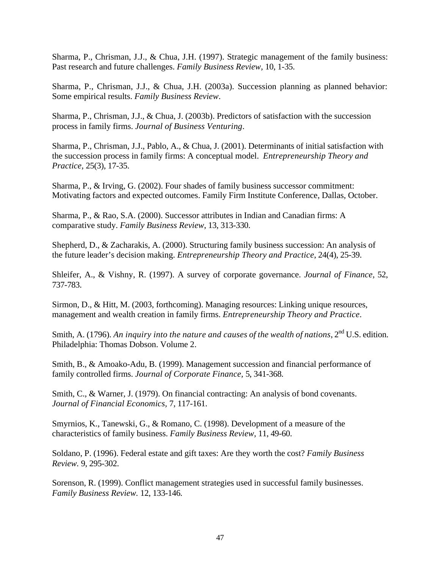Sharma, P., Chrisman, J.J., & Chua, J.H. (1997). Strategic management of the family business: Past research and future challenges. *Family Business Review,* 10, 1-35.

Sharma, P., Chrisman, J.J., & Chua, J.H. (2003a). Succession planning as planned behavior: Some empirical results. *Family Business Review*.

Sharma, P., Chrisman, J.J., & Chua, J. (2003b). Predictors of satisfaction with the succession process in family firms. *Journal of Business Venturing*.

Sharma, P., Chrisman, J.J., Pablo, A., & Chua, J. (2001). Determinants of initial satisfaction with the succession process in family firms: A conceptual model. *Entrepreneurship Theory and Practice,* 25(3), 17-35.

Sharma, P., & Irving, G. (2002). Four shades of family business successor commitment: Motivating factors and expected outcomes. Family Firm Institute Conference, Dallas, October.

Sharma, P., & Rao, S.A. (2000). Successor attributes in Indian and Canadian firms: A comparative study. *Family Business Review*, 13, 313-330.

Shepherd, D., & Zacharakis, A. (2000). Structuring family business succession: An analysis of the future leader's decision making. *Entrepreneurship Theory and Practice*, 24(4), 25-39.

Shleifer, A., & Vishny, R. (1997). A survey of corporate governance. *Journal of Finance,* 52, 737-783.

Sirmon, D., & Hitt, M. (2003, forthcoming). Managing resources: Linking unique resources, management and wealth creation in family firms. *Entrepreneurship Theory and Practice*.

Smith, A. (1796). An inquiry into the nature and causes of the wealth of nations, 2<sup>nd</sup> U.S. edition. Philadelphia: Thomas Dobson. Volume 2.

Smith, B., & Amoako-Adu, B. (1999). Management succession and financial performance of family controlled firms. *Journal of Corporate Finance,* 5, 341-368.

Smith, C., & Warner, J. (1979). On financial contracting: An analysis of bond covenants. *Journal of Financial Economics,* 7, 117-161.

Smyrnios, K., Tanewski, G., & Romano, C. (1998). Development of a measure of the characteristics of family business. *Family Business Review,* 11, 49-60.

Soldano, P. (1996). Federal estate and gift taxes: Are they worth the cost? *Family Business Review.* 9, 295-302.

Sorenson, R. (1999). Conflict management strategies used in successful family businesses. *Family Business Review.* 12, 133-146.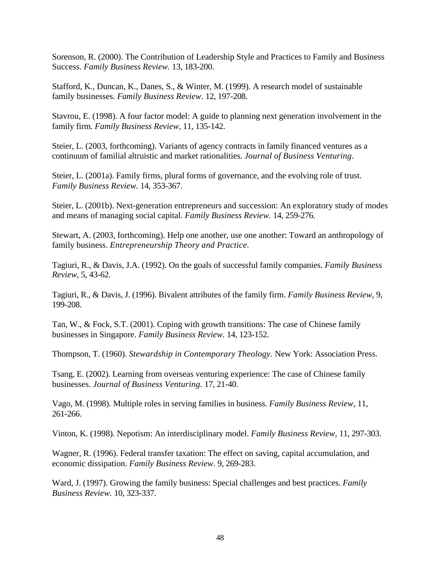Sorenson, R. (2000). The Contribution of Leadership Style and Practices to Family and Business Success. *Family Business Review.* 13, 183-200.

Stafford, K., Duncan, K., Danes, S., & Winter, M. (1999). A research model of sustainable family businesses. *Family Business Review.* 12, 197-208.

Stavrou, E. (1998). A four factor model: A guide to planning next generation involvement in the family firm. *Family Business Review,* 11, 135-142.

Steier, L. (2003, forthcoming). Variants of agency contracts in family financed ventures as a continuum of familial altruistic and market rationalities. *Journal of Business Venturing*.

Steier, L. (2001a). Family firms, plural forms of governance, and the evolving role of trust. *Family Business Review.* 14, 353-367.

Steier, L. (2001b). Next-generation entrepreneurs and succession: An exploratory study of modes and means of managing social capital. *Family Business Review.* 14, 259-276.

Stewart, A. (2003, forthcoming). Help one another, use one another: Toward an anthropology of family business. *Entrepreneurship Theory and Practice*.

Tagiuri, R., & Davis, J.A. (1992). On the goals of successful family companies. *Family Business Review*, 5, 43-62.

Tagiuri, R., & Davis, J. (1996). Bivalent attributes of the family firm. *Family Business Review,* 9, 199-208.

Tan, W., & Fock, S.T. (2001). Coping with growth transitions: The case of Chinese family businesses in Singapore. *Family Business Review.* 14, 123-152.

Thompson, T. (1960). *Stewardship in Contemporary Theology.* New York: Association Press.

Tsang, E. (2002). Learning from overseas venturing experience: The case of Chinese family businesses. *Journal of Business Venturing.* 17, 21-40.

Vago, M. (1998). Multiple roles in serving families in business. *Family Business Review,* 11, 261-266.

Vinton, K. (1998). Nepotism: An interdisciplinary model. *Family Business Review,* 11, 297-303.

Wagner, R. (1996). Federal transfer taxation: The effect on saving, capital accumulation, and economic dissipation. *Family Business Review.* 9, 269-283.

Ward, J. (1997). Growing the family business: Special challenges and best practices. *Family Business Review.* 10, 323-337.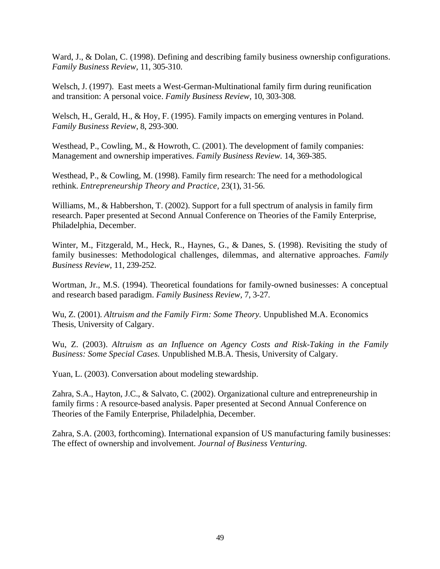Ward, J., & Dolan, C. (1998). Defining and describing family business ownership configurations. *Family Business Review,* 11, 305-310.

Welsch, J. (1997). East meets a West-German-Multinational family firm during reunification and transition: A personal voice. *Family Business Review,* 10, 303-308.

Welsch, H., Gerald, H., & Hoy, F. (1995). Family impacts on emerging ventures in Poland. *Family Business Review*, 8, 293-300.

Westhead, P., Cowling, M., & Howroth, C. (2001). The development of family companies: Management and ownership imperatives. *Family Business Review.* 14, 369-385.

Westhead, P., & Cowling, M. (1998). Family firm research: The need for a methodological rethink. *Entrepreneurship Theory and Practice,* 23(1), 31-56.

Williams, M., & Habbershon, T. (2002). Support for a full spectrum of analysis in family firm research. Paper presented at Second Annual Conference on Theories of the Family Enterprise, Philadelphia, December.

Winter, M., Fitzgerald, M., Heck, R., Haynes, G., & Danes, S. (1998). Revisiting the study of family businesses: Methodological challenges, dilemmas, and alternative approaches. *Family Business Review,* 11, 239-252.

Wortman, Jr., M.S. (1994). Theoretical foundations for family-owned businesses: A conceptual and research based paradigm. *Family Business Review,* 7, 3-27.

Wu, Z. (2001). *Altruism and the Family Firm: Some Theory.* Unpublished M.A. Economics Thesis, University of Calgary.

Wu, Z. (2003). *Altruism as an Influence on Agency Costs and Risk-Taking in the Family Business: Some Special Cases.* Unpublished M.B.A. Thesis, University of Calgary.

Yuan, L. (2003). Conversation about modeling stewardship.

Zahra, S.A., Hayton, J.C., & Salvato, C. (2002). Organizational culture and entrepreneurship in family firms : A resource-based analysis. Paper presented at Second Annual Conference on Theories of the Family Enterprise, Philadelphia, December.

Zahra, S.A. (2003, forthcoming). International expansion of US manufacturing family businesses: The effect of ownership and involvement. *Journal of Business Venturing.*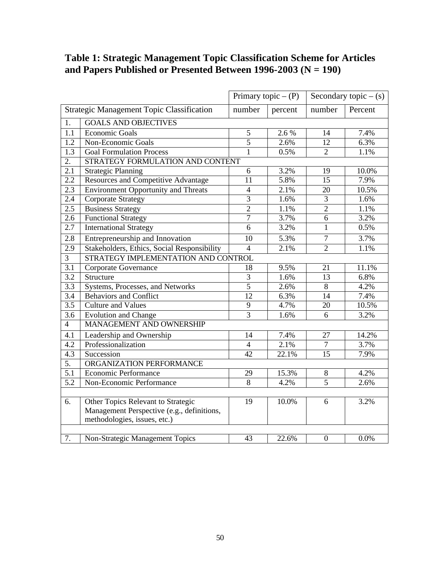### **Table 1: Strategic Management Topic Classification Scheme for Articles and Papers Published or Presented Between 1996-2003 (N = 190)**

|                  |                                                  |                 | Primary topic $- (P)$ |                | Secondary topic $-$ (s) |
|------------------|--------------------------------------------------|-----------------|-----------------------|----------------|-------------------------|
|                  | <b>Strategic Management Topic Classification</b> | number          | percent               | number         | Percent                 |
| 1.               | <b>GOALS AND OBJECTIVES</b>                      |                 |                       |                |                         |
| 1.1              | <b>Economic Goals</b>                            | 5               | 2.6%                  | 14             | 7.4%                    |
| $\overline{1.2}$ | Non-Economic Goals                               | $\overline{5}$  | 2.6%                  | 12             | 6.3%                    |
| 1.3              | <b>Goal Formulation Process</b>                  | $\mathbf{1}$    | 0.5%                  | $\overline{2}$ | 1.1%                    |
| $\overline{2}$ . | STRATEGY FORMULATION AND CONTENT                 |                 |                       |                |                         |
| 2.1              | Strategic Planning                               | 6               | 3.2%                  | 19             | 10.0%                   |
| 2.2              | <b>Resources and Competitive Advantage</b>       | 11              | 5.8%                  | 15             | 7.9%                    |
| $2.\overline{3}$ | <b>Environment Opportunity and Threats</b>       | $\overline{4}$  | 2.1%                  | 20             | 10.5%                   |
| $2.\bar{4}$      | <b>Corporate Strategy</b>                        | $\overline{3}$  | 1.6%                  | 3              | 1.6%                    |
| 2.5              | <b>Business Strategy</b>                         | $\overline{2}$  | 1.1%                  | $\overline{2}$ | 1.1%                    |
| $2.\overline{6}$ | <b>Functional Strategy</b>                       | $\overline{7}$  | 3.7%                  | $\overline{6}$ | 3.2%                    |
| 2.7              | <b>International Strategy</b>                    | $\overline{6}$  | 3.2%                  | $\mathbf{1}$   | 0.5%                    |
| 2.8              | Entrepreneurship and Innovation                  | 10              | 5.3%                  | $\tau$         | 3.7%                    |
| $2.\overline{9}$ | Stakeholders, Ethics, Social Responsibility      | $\overline{4}$  | 2.1%                  | $\overline{2}$ | 1.1%                    |
| $\overline{3}$   | STRATEGY IMPLEMENTATION AND CONTROL              |                 |                       |                |                         |
| $\overline{3.1}$ | Corporate Governance                             | 18              | 9.5%                  | 21             | 11.1%                   |
| $\overline{3.2}$ | Structure                                        | $\overline{3}$  | 1.6%                  | 13             | 6.8%                    |
| $\overline{3.3}$ | Systems, Processes, and Networks                 | $\overline{5}$  | 2.6%                  | $8\,$          | 4.2%                    |
| $\overline{3.4}$ | <b>Behaviors and Conflict</b>                    | 12              | 6.3%                  | 14             | 7.4%                    |
| $\overline{3.5}$ | Culture and Values                               | $\overline{9}$  | 4.7%                  | 20             | 10.5%                   |
| 3.6              | <b>Evolution and Change</b>                      | $\overline{3}$  | 1.6%                  | 6              | 3.2%                    |
| $\overline{4}$   | MANAGEMENT AND OWNERSHIP                         |                 |                       |                |                         |
| 4.1              | Leadership and Ownership                         | 14              | 7.4%                  | 27             | 14.2%                   |
| $\overline{4.2}$ | Professionalization                              | $\overline{4}$  | 2.1%                  | $\overline{7}$ | 3.7%                    |
| 4.3              | Succession                                       | $\overline{42}$ | 22.1%                 | 15             | 7.9%                    |
| $\overline{5}$ . | ORGANIZATION PERFORMANCE                         |                 |                       |                |                         |
| $\overline{5.1}$ | <b>Economic Performance</b>                      | 29              | 15.3%                 | 8              | 4.2%                    |
| $\overline{5.2}$ | Non-Economic Performance                         | $\overline{8}$  | 4.2%                  | $\overline{5}$ | 2.6%                    |
|                  |                                                  |                 |                       |                |                         |
| 6.               | Other Topics Relevant to Strategic               | 19              | 10.0%                 | 6              | 3.2%                    |
|                  | Management Perspective (e.g., definitions,       |                 |                       |                |                         |
|                  | methodologies, issues, etc.)                     |                 |                       |                |                         |
|                  |                                                  |                 |                       |                |                         |
| $\overline{7}$ . | Non-Strategic Management Topics                  | 43              | 22.6%                 | $\mathbf{0}$   | 0.0%                    |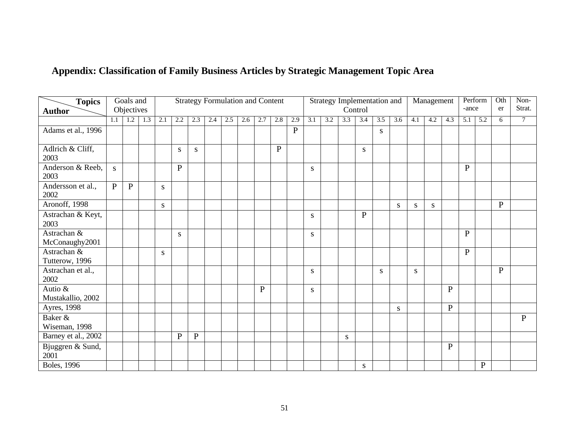| <b>Topics</b>                 |              | Goals and    |     |              |              | <b>Strategy Formulation and Content</b> |     |     |     |     |              |              |     |     |     | Strategy Implementation and |     |              |     | Management |              |              | Perform | Oth          | Non-<br>Strat. |
|-------------------------------|--------------|--------------|-----|--------------|--------------|-----------------------------------------|-----|-----|-----|-----|--------------|--------------|-----|-----|-----|-----------------------------|-----|--------------|-----|------------|--------------|--------------|---------|--------------|----------------|
| <b>Author</b>                 |              | Objectives   |     |              |              |                                         |     |     |     |     |              |              |     |     |     | Control                     |     |              |     |            |              | -ance        |         | er           |                |
|                               | 1.1          | 1.2          | 1.3 | 2.1          | 2.2          | 2.3                                     | 2.4 | 2.5 | 2.6 | 2.7 | 2.8          | 2.9          | 3.1 | 3.2 | 3.3 | 3.4                         | 3.5 | 3.6          | 4.1 | 4.2        | 4.3          | 5.1          | 5.2     | 6            | 7              |
| Adams et al., 1996            |              |              |     |              |              |                                         |     |     |     |     |              | $\mathbf{P}$ |     |     |     |                             | S   |              |     |            |              |              |         |              |                |
| Adlrich & Cliff,<br>2003      |              |              |     |              | S            | <sub>S</sub>                            |     |     |     |     | $\mathbf{P}$ |              |     |     |     | S                           |     |              |     |            |              |              |         |              |                |
| Anderson & Reeb,<br>2003      | S            |              |     |              | $\mathbf{P}$ |                                         |     |     |     |     |              |              | S   |     |     |                             |     |              |     |            |              | $\mathbf{P}$ |         |              |                |
| Andersson et al.,<br>2002     | $\mathbf{P}$ | $\mathbf{P}$ |     | <sub>S</sub> |              |                                         |     |     |     |     |              |              |     |     |     |                             |     |              |     |            |              |              |         |              |                |
| Aronoff, 1998                 |              |              |     | S            |              |                                         |     |     |     |     |              |              |     |     |     |                             |     | S            | S   | S          |              |              |         | $\mathbf{P}$ |                |
| Astrachan & Keyt,<br>2003     |              |              |     |              |              |                                         |     |     |     |     |              |              | S   |     |     | $\mathbf{P}$                |     |              |     |            |              |              |         |              |                |
| Astrachan &<br>McConaughy2001 |              |              |     |              | S            |                                         |     |     |     |     |              |              | S   |     |     |                             |     |              |     |            |              | P            |         |              |                |
| Astrachan &<br>Tutterow, 1996 |              |              |     | S            |              |                                         |     |     |     |     |              |              |     |     |     |                             |     |              |     |            |              | $\mathbf{P}$ |         |              |                |
| Astrachan et al.,<br>2002     |              |              |     |              |              |                                         |     |     |     |     |              |              | S   |     |     |                             | S   |              | S   |            |              |              |         | $\mathbf{P}$ |                |
| Autio &<br>Mustakallio, 2002  |              |              |     |              |              |                                         |     |     |     | P   |              |              | S   |     |     |                             |     |              |     |            | $\mathbf{P}$ |              |         |              |                |
| <b>Avres, 1998</b>            |              |              |     |              |              |                                         |     |     |     |     |              |              |     |     |     |                             |     | $\mathbf{S}$ |     |            | $\mathbf{p}$ |              |         |              |                |

## **Appendix: Classification of Family Business Articles by Strategic Management Topic Area**

Ayres, 1998 s P Baker & Wiseman, 1998 P Barney et al., 2002 P P s Bjuggren & Sund,  $\frac{2001}{\text{Boles}, 1996}$ P Boles, 1996 s P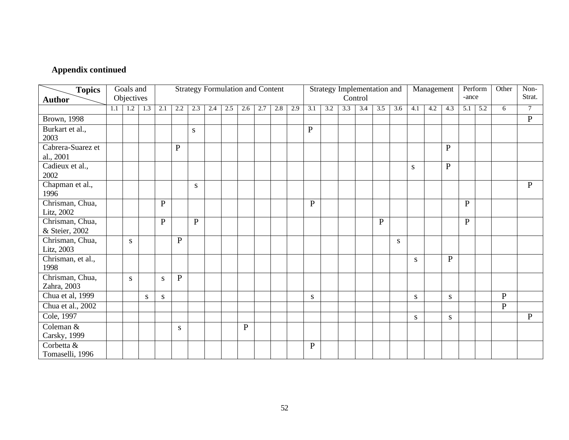| <b>Topics</b>                 |     | Goals and<br>Objectives |     |              |                |              | <b>Strategy Formulation and Content</b> |     |           |     |     |     |              |     |     | Strategy Implementation and<br>Control |              |     |           | Management |                | -ance        | Perform | Other        | Non-<br>Strat. |
|-------------------------------|-----|-------------------------|-----|--------------|----------------|--------------|-----------------------------------------|-----|-----------|-----|-----|-----|--------------|-----|-----|----------------------------------------|--------------|-----|-----------|------------|----------------|--------------|---------|--------------|----------------|
| <b>Author</b>                 | 1.1 | 1.2                     | 1.3 | 2.1          | 2.2            | 2.3          | 2.4                                     | 2.5 | 2.6       | 2.7 | 2.8 | 2.9 | 3.1          | 3.2 | 3.3 | 3.4                                    | 3.5          | 3.6 | 4.1       | 4.2        | 4.3            | 5.1          | 5.2     | 6            | $\overline{7}$ |
|                               |     |                         |     |              |                |              |                                         |     |           |     |     |     |              |     |     |                                        |              |     |           |            |                |              |         |              |                |
| <b>Brown</b> , 1998           |     |                         |     |              |                |              |                                         |     |           |     |     |     |              |     |     |                                        |              |     |           |            |                |              |         |              | $\mathbf{P}$   |
| Burkart et al.,<br>2003       |     |                         |     |              |                | S            |                                         |     |           |     |     |     | $\mathbf P$  |     |     |                                        |              |     |           |            |                |              |         |              |                |
| Cabrera-Suarez et             |     |                         |     |              | $\overline{P}$ |              |                                         |     |           |     |     |     |              |     |     |                                        |              |     |           |            | $\overline{P}$ |              |         |              |                |
| al., 2001                     |     |                         |     |              |                |              |                                         |     |           |     |     |     |              |     |     |                                        |              |     |           |            |                |              |         |              |                |
| Cadieux et al.,               |     |                         |     |              |                |              |                                         |     |           |     |     |     |              |     |     |                                        |              |     | S         |            | $\mathbf{P}$   |              |         |              |                |
| 2002                          |     |                         |     |              |                |              |                                         |     |           |     |     |     |              |     |     |                                        |              |     |           |            |                |              |         |              |                |
| Chapman et al.,<br>1996       |     |                         |     |              |                | S            |                                         |     |           |     |     |     |              |     |     |                                        |              |     |           |            |                |              |         |              | $\mathbf{P}$   |
|                               |     |                         |     |              |                |              |                                         |     |           |     |     |     |              |     |     |                                        |              |     |           |            |                |              |         |              |                |
| Chrisman, Chua,<br>Litz, 2002 |     |                         |     | $\mathbf{P}$ |                |              |                                         |     |           |     |     |     | $\mathbf{P}$ |     |     |                                        |              |     |           |            |                | $\mathbf{P}$ |         |              |                |
| Chrisman, Chua,               |     |                         |     | $\mathbf{P}$ |                | $\mathbf{P}$ |                                         |     |           |     |     |     |              |     |     |                                        | $\mathbf{P}$ |     |           |            |                | $\mathbf{P}$ |         |              |                |
| & Steier, 2002                |     |                         |     |              |                |              |                                         |     |           |     |     |     |              |     |     |                                        |              |     |           |            |                |              |         |              |                |
| Chrisman, Chua,               |     | S                       |     |              | $\mathbf{P}$   |              |                                         |     |           |     |     |     |              |     |     |                                        |              | S   |           |            |                |              |         |              |                |
| Litz, 2003                    |     |                         |     |              |                |              |                                         |     |           |     |     |     |              |     |     |                                        |              |     |           |            |                |              |         |              |                |
| Chrisman, et al.,<br>1998     |     |                         |     |              |                |              |                                         |     |           |     |     |     |              |     |     |                                        |              |     | S.        |            | $\mathbf{P}$   |              |         |              |                |
| Chrisman, Chua,               |     | $\overline{S}$          |     | S            | $\mathbf{P}$   |              |                                         |     |           |     |     |     |              |     |     |                                        |              |     |           |            |                |              |         |              |                |
| Zahra, 2003                   |     |                         |     |              |                |              |                                         |     |           |     |     |     |              |     |     |                                        |              |     |           |            |                |              |         |              |                |
| Chua et al, 1999              |     |                         | S   | S            |                |              |                                         |     |           |     |     |     | ${\bf S}$    |     |     |                                        |              |     | ${\bf S}$ |            | S              |              |         | $\mathbf{P}$ |                |
| Chua et al., 2002             |     |                         |     |              |                |              |                                         |     |           |     |     |     |              |     |     |                                        |              |     |           |            |                |              |         | $\mathbf{P}$ |                |
| Cole, 1997                    |     |                         |     |              |                |              |                                         |     |           |     |     |     |              |     |     |                                        |              |     | S.        |            | S              |              |         |              | $\mathbf{P}$   |
| Coleman &                     |     |                         |     |              | S              |              |                                         |     | ${\bf P}$ |     |     |     |              |     |     |                                        |              |     |           |            |                |              |         |              |                |
| Carsky, 1999                  |     |                         |     |              |                |              |                                         |     |           |     |     |     |              |     |     |                                        |              |     |           |            |                |              |         |              |                |
| Corbetta &<br>Tomaselli, 1996 |     |                         |     |              |                |              |                                         |     |           |     |     |     | $\mathbf{P}$ |     |     |                                        |              |     |           |            |                |              |         |              |                |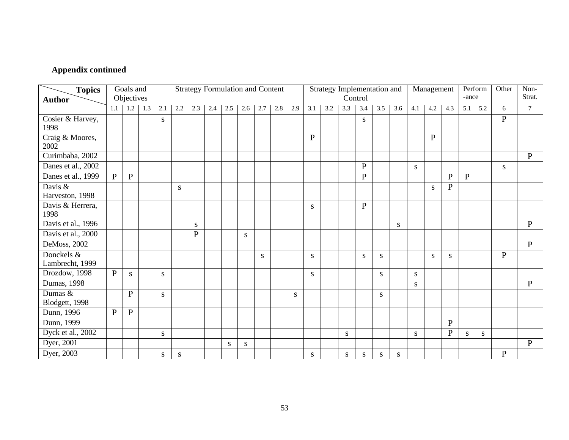| <b>Topics</b>                 |              | Goals and<br>Objectives |             |           |     |              | <b>Strategy Formulation and Content</b> |     |           |     |     |     |              | Strategy Implementation and |     | Control      |     |     |     | Management   |              | -ance        | Perform | Other        | $\overline{\text{Non}}$<br>Strat. |
|-------------------------------|--------------|-------------------------|-------------|-----------|-----|--------------|-----------------------------------------|-----|-----------|-----|-----|-----|--------------|-----------------------------|-----|--------------|-----|-----|-----|--------------|--------------|--------------|---------|--------------|-----------------------------------|
| <b>Author</b>                 | 1.1          |                         | $1.2$   1.3 | 2.1       | 2.2 | 2.3          | 2.4                                     | 2.5 | 2.6       | 2.7 | 2.8 | 2.9 | 3.1          | 3.2                         | 3.3 | 3.4          | 3.5 | 3.6 | 4.1 | 4.2          | 4.3          | 5.1          | 5.2     | 6            | $\overline{7}$                    |
|                               |              |                         |             |           |     |              |                                         |     |           |     |     |     |              |                             |     |              |     |     |     |              |              |              |         |              |                                   |
| Cosier & Harvey,<br>1998      |              |                         |             | S         |     |              |                                         |     |           |     |     |     |              |                             |     | S            |     |     |     |              |              |              |         | $\mathbf{P}$ |                                   |
| Craig & Moores,<br>2002       |              |                         |             |           |     |              |                                         |     |           |     |     |     | $\mathbf{P}$ |                             |     |              |     |     |     | $\mathbf{P}$ |              |              |         |              |                                   |
| Curimbaba, 2002               |              |                         |             |           |     |              |                                         |     |           |     |     |     |              |                             |     |              |     |     |     |              |              |              |         |              | $\mathbf{P}$                      |
| Danes et al., 2002            |              |                         |             |           |     |              |                                         |     |           |     |     |     |              |                             |     | $\mathbf{P}$ |     |     | S   |              |              |              |         | <sub>S</sub> |                                   |
| Danes et al., 1999            | $\mathbf{P}$ | $\mathbf{P}$            |             |           |     |              |                                         |     |           |     |     |     |              |                             |     | ${\bf P}$    |     |     |     |              | $\mathbf{P}$ | $\mathbf{P}$ |         |              |                                   |
| Davis &<br>Harveston, 1998    |              |                         |             |           | S   |              |                                         |     |           |     |     |     |              |                             |     |              |     |     |     | S            | $\mathbf{P}$ |              |         |              |                                   |
| Davis & Herrera,<br>1998      |              |                         |             |           |     |              |                                         |     |           |     |     |     | S            |                             |     | ${\bf P}$    |     |     |     |              |              |              |         |              |                                   |
| Davis et al., 1996            |              |                         |             |           |     | S            |                                         |     |           |     |     |     |              |                             |     |              |     | S   |     |              |              |              |         |              | $\mathbf{P}$                      |
| Davis et al., 2000            |              |                         |             |           |     | $\mathbf{P}$ |                                         |     | ${\bf S}$ |     |     |     |              |                             |     |              |     |     |     |              |              |              |         |              |                                   |
| DeMoss, 2002                  |              |                         |             |           |     |              |                                         |     |           |     |     |     |              |                             |     |              |     |     |     |              |              |              |         |              | P                                 |
| Donckels &<br>Lambrecht, 1999 |              |                         |             |           |     |              |                                         |     |           | S   |     |     | S            |                             |     | S            | S   |     |     | S            | S            |              |         | $\mathbf{P}$ |                                   |
| Drozdow, 1998                 | P            | ${\bf S}$               |             | ${\bf S}$ |     |              |                                         |     |           |     |     |     | ${\bf S}$    |                             |     |              | S   |     | S   |              |              |              |         |              |                                   |
| Dumas, 1998                   |              |                         |             |           |     |              |                                         |     |           |     |     |     |              |                             |     |              |     |     | S   |              |              |              |         |              | $\mathbf{P}$                      |
| Dumas &<br>Blodgett, 1998     |              | $\mathbf{P}$            |             | ${\bf S}$ |     |              |                                         |     |           |     |     | S   |              |                             |     |              | S   |     |     |              |              |              |         |              |                                   |
| Dunn, 1996                    | $\mathbf{P}$ | $\, {\bf P}$            |             |           |     |              |                                         |     |           |     |     |     |              |                             |     |              |     |     |     |              |              |              |         |              |                                   |
| Dunn, 1999                    |              |                         |             |           |     |              |                                         |     |           |     |     |     |              |                             |     |              |     |     |     |              | $\mathbf{P}$ |              |         |              |                                   |
| Dyck et al., 2002             |              |                         |             | S         |     |              |                                         |     |           |     |     |     |              |                             | S   |              |     |     | S   |              | ${\bf P}$    | S            | S       |              |                                   |
| Dyer, 2001                    |              |                         |             |           |     |              |                                         | S   | S         |     |     |     |              |                             |     |              |     |     |     |              |              |              |         |              | $\mathbf{P}$                      |
| Dyer, 2003                    |              |                         |             | S         | S   |              |                                         |     |           |     |     |     | S            |                             | S   | S            | S   | S   |     |              |              |              |         | $\mathbf{P}$ |                                   |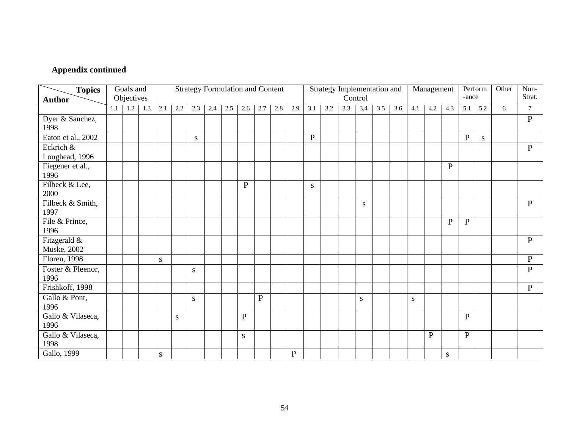| <b>Topics</b>                       |     | Goals and  |                   |           |     |     | <b>Strategy Formulation and Content</b> |     |              |              |     |              |              |     |     | Strategy Implementation and |     |     |     | Management   |              |              | Perform | Other | $\overline{\text{Non}}$ |
|-------------------------------------|-----|------------|-------------------|-----------|-----|-----|-----------------------------------------|-----|--------------|--------------|-----|--------------|--------------|-----|-----|-----------------------------|-----|-----|-----|--------------|--------------|--------------|---------|-------|-------------------------|
| <b>Author</b>                       |     | Objectives |                   |           |     |     |                                         |     |              |              |     |              |              |     |     | Control                     |     |     |     |              |              | -ance        |         |       | Strat.                  |
|                                     | 1.1 |            | $1.2 \,   \, 1.3$ | 2.1       | 2.2 | 2.3 | 2.4                                     | 2.5 | 2.6          | 2.7          | 2.8 | 2.9          | 3.1          | 3.2 | 3.3 | 3.4                         | 3.5 | 3.6 | 4.1 | 4.2          | 4.3          | 5.1          | 5.2     | 6     | $\overline{7}$          |
| Dyer & Sanchez,<br>1998             |     |            |                   |           |     |     |                                         |     |              |              |     |              |              |     |     |                             |     |     |     |              |              |              |         |       | $\mathbf{P}$            |
| Eaton et al., 2002                  |     |            |                   |           |     | S   |                                         |     |              |              |     |              | $\mathbf{P}$ |     |     |                             |     |     |     |              |              | $\mathbf{P}$ | S       |       |                         |
| Eckrich &<br>Loughead, 1996         |     |            |                   |           |     |     |                                         |     |              |              |     |              |              |     |     |                             |     |     |     |              |              |              |         |       | $\mathbf{P}$            |
| Fiegener et al.,<br>1996            |     |            |                   |           |     |     |                                         |     |              |              |     |              |              |     |     |                             |     |     |     |              | ${\bf P}$    |              |         |       |                         |
| Filbeck & Lee,<br>2000              |     |            |                   |           |     |     |                                         |     | $\mathbf{P}$ |              |     |              | S            |     |     |                             |     |     |     |              |              |              |         |       |                         |
| Filbeck & Smith,<br>1997            |     |            |                   |           |     |     |                                         |     |              |              |     |              |              |     |     | S                           |     |     |     |              |              |              |         |       | $\mathbf{P}$            |
| File & Prince,<br>1996              |     |            |                   |           |     |     |                                         |     |              |              |     |              |              |     |     |                             |     |     |     |              | $\mathbf{P}$ | $\mathbf{P}$ |         |       |                         |
| Fitzgerald &<br><b>Muske</b> , 2002 |     |            |                   |           |     |     |                                         |     |              |              |     |              |              |     |     |                             |     |     |     |              |              |              |         |       | $\mathbf{P}$            |
| Floren, 1998                        |     |            |                   | ${\bf S}$ |     |     |                                         |     |              |              |     |              |              |     |     |                             |     |     |     |              |              |              |         |       | $\mathbf{P}$            |
| Foster & Fleenor,<br>1996           |     |            |                   |           |     | S   |                                         |     |              |              |     |              |              |     |     |                             |     |     |     |              |              |              |         |       | $\mathbf{P}$            |
| Frishkoff, 1998                     |     |            |                   |           |     |     |                                         |     |              |              |     |              |              |     |     |                             |     |     |     |              |              |              |         |       | $\mathbf{P}$            |
| Gallo & Pont,<br>1996               |     |            |                   |           |     | S   |                                         |     |              | $\mathbf{P}$ |     |              |              |     |     | S                           |     |     | S   |              |              |              |         |       |                         |
| Gallo & Vilaseca,<br>1996           |     |            |                   |           | S   |     |                                         |     | ${\bf P}$    |              |     |              |              |     |     |                             |     |     |     |              |              | $\mathbf{P}$ |         |       |                         |
| Gallo & Vilaseca,<br>1998           |     |            |                   |           |     |     |                                         |     | S            |              |     |              |              |     |     |                             |     |     |     | $\mathbf{P}$ |              | $\mathbf{P}$ |         |       |                         |
| Gallo, 1999                         |     |            |                   | S         |     |     |                                         |     |              |              |     | $\, {\bf P}$ |              |     |     |                             |     |     |     |              | S            |              |         |       |                         |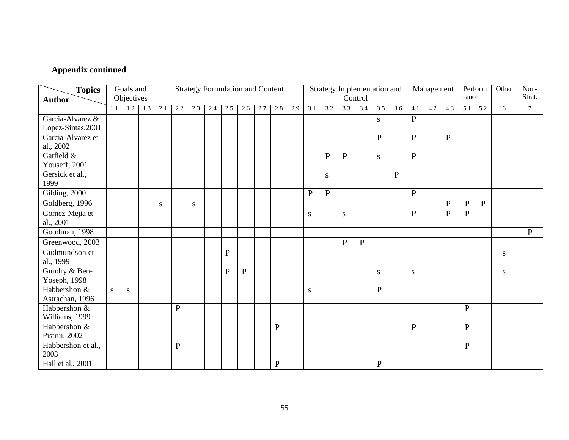| <b>Topics</b><br><b>Author</b> |     | Goals and<br>Objectives |     |     |              |           | <b>Strategy Formulation and Content</b> |           |           |     |              |     |              |              |              | Strategy Implementation and<br>Control |              |              |              | Management |              | -ance        | Perform      | Other | $\overline{\text{Non}}$<br>Strat. |
|--------------------------------|-----|-------------------------|-----|-----|--------------|-----------|-----------------------------------------|-----------|-----------|-----|--------------|-----|--------------|--------------|--------------|----------------------------------------|--------------|--------------|--------------|------------|--------------|--------------|--------------|-------|-----------------------------------|
|                                | 1.1 | 1.2                     | 1.3 | 2.1 | 2.2          | 2.3       | 2.4                                     | 2.5       | 2.6       | 2.7 | 2.8          | 2.9 | 3.1          | 3.2          | 3.3          | 3.4                                    | 3.5          | 3.6          | 4.1          | 4.2        | 4.3          | 5.1          | 5.2          | 6     | $\tau$                            |
|                                |     |                         |     |     |              |           |                                         |           |           |     |              |     |              |              |              |                                        |              |              |              |            |              |              |              |       |                                   |
| Garcia-Alvarez &               |     |                         |     |     |              |           |                                         |           |           |     |              |     |              |              |              |                                        | S            |              | $\mathbf{P}$ |            |              |              |              |       |                                   |
| Lopez-Sintas, 2001             |     |                         |     |     |              |           |                                         |           |           |     |              |     |              |              |              |                                        |              |              |              |            |              |              |              |       |                                   |
| Garcia-Alvarez et<br>al., 2002 |     |                         |     |     |              |           |                                         |           |           |     |              |     |              |              |              |                                        | $\mathbf{P}$ |              | $\mathbf{P}$ |            | $\mathbf{P}$ |              |              |       |                                   |
| Gatfield &                     |     |                         |     |     |              |           |                                         |           |           |     |              |     |              | $\mathbf{P}$ | $\mathbf{P}$ |                                        | S            |              | $\mathbf{P}$ |            |              |              |              |       |                                   |
| Youseff, 2001                  |     |                         |     |     |              |           |                                         |           |           |     |              |     |              |              |              |                                        |              |              |              |            |              |              |              |       |                                   |
| Gersick et al.,                |     |                         |     |     |              |           |                                         |           |           |     |              |     |              | S            |              |                                        |              | $\mathbf{P}$ |              |            |              |              |              |       |                                   |
| 1999                           |     |                         |     |     |              |           |                                         |           |           |     |              |     |              |              |              |                                        |              |              |              |            |              |              |              |       |                                   |
| Gilding, 2000                  |     |                         |     |     |              |           |                                         |           |           |     |              |     | $\mathbf{P}$ | $\mathbf{P}$ |              |                                        |              |              | $\mathbf{P}$ |            |              |              |              |       |                                   |
| Goldberg, 1996                 |     |                         |     | S   |              | ${\bf S}$ |                                         |           |           |     |              |     |              |              |              |                                        |              |              |              |            | $\mathbf{P}$ | $\, {\bf P}$ | $\, {\bf P}$ |       |                                   |
| Gomez-Mejia et                 |     |                         |     |     |              |           |                                         |           |           |     |              |     | S            |              | S            |                                        |              |              | $\mathbf{P}$ |            | ${\bf P}$    | $\mathbf{P}$ |              |       |                                   |
| al., 2001                      |     |                         |     |     |              |           |                                         |           |           |     |              |     |              |              |              |                                        |              |              |              |            |              |              |              |       |                                   |
| Goodman, 1998                  |     |                         |     |     |              |           |                                         |           |           |     |              |     |              |              |              |                                        |              |              |              |            |              |              |              |       | $\mathbf{P}$                      |
| Greenwood, 2003                |     |                         |     |     |              |           |                                         |           |           |     |              |     |              |              | $\mathbf{P}$ | $\mathbf{P}$                           |              |              |              |            |              |              |              |       |                                   |
| Gudmundson et                  |     |                         |     |     |              |           |                                         | ${\bf P}$ |           |     |              |     |              |              |              |                                        |              |              |              |            |              |              |              | S     |                                   |
| al., 1999                      |     |                         |     |     |              |           |                                         |           |           |     |              |     |              |              |              |                                        |              |              |              |            |              |              |              |       |                                   |
| Gundry & Ben-                  |     |                         |     |     |              |           |                                         | ${\bf P}$ | ${\bf P}$ |     |              |     |              |              |              |                                        | S            |              | ${\bf S}$    |            |              |              |              | S     |                                   |
| Yoseph, 1998                   |     |                         |     |     |              |           |                                         |           |           |     |              |     |              |              |              |                                        |              |              |              |            |              |              |              |       |                                   |
| Habbershon &                   | S   | ${\bf S}$               |     |     |              |           |                                         |           |           |     |              |     | S            |              |              |                                        | $\mathbf{P}$ |              |              |            |              |              |              |       |                                   |
| Astrachan, 1996                |     |                         |     |     |              |           |                                         |           |           |     |              |     |              |              |              |                                        |              |              |              |            |              |              |              |       |                                   |
| Habbershon &                   |     |                         |     |     | $\mathbf{P}$ |           |                                         |           |           |     |              |     |              |              |              |                                        |              |              |              |            |              | $\mathbf{P}$ |              |       |                                   |
| Williams, 1999                 |     |                         |     |     |              |           |                                         |           |           |     |              |     |              |              |              |                                        |              |              |              |            |              |              |              |       |                                   |
| Habbershon &                   |     |                         |     |     |              |           |                                         |           |           |     | $\mathbf{P}$ |     |              |              |              |                                        |              |              | $\mathbf P$  |            |              | $\mathbf{P}$ |              |       |                                   |
| Pistrui, 2002                  |     |                         |     |     |              |           |                                         |           |           |     |              |     |              |              |              |                                        |              |              |              |            |              |              |              |       |                                   |
| Habbershon et al.,<br>2003     |     |                         |     |     | $\mathbf{P}$ |           |                                         |           |           |     |              |     |              |              |              |                                        |              |              |              |            |              | $\mathbf{P}$ |              |       |                                   |
| Hall et al., 2001              |     |                         |     |     |              |           |                                         |           |           |     |              |     |              |              |              |                                        |              |              |              |            |              |              |              |       |                                   |
|                                |     |                         |     |     |              |           |                                         |           |           |     | $\mathbf{P}$ |     |              |              |              |                                        | $\mathbf{P}$ |              |              |            |              |              |              |       |                                   |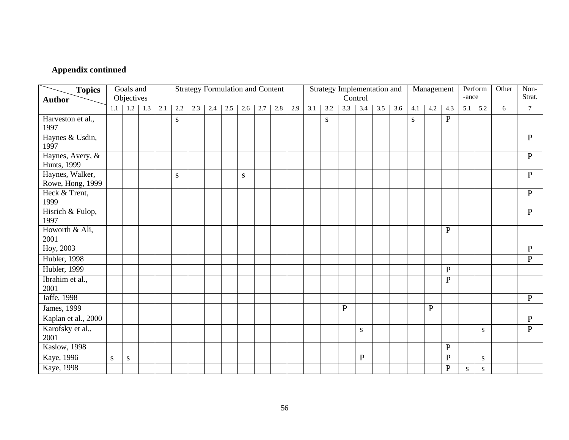| <b>Topics</b><br><b>Author</b>          |           | Goals and<br>Objectives |     |     |     |     | <b>Strategy Formulation and Content</b> |     |           |     |     |     |     |     | Strategy Implementation and | Control   |     |     |     | Management |              | -ance     | Perform   | Other | Non-<br>Strat. |
|-----------------------------------------|-----------|-------------------------|-----|-----|-----|-----|-----------------------------------------|-----|-----------|-----|-----|-----|-----|-----|-----------------------------|-----------|-----|-----|-----|------------|--------------|-----------|-----------|-------|----------------|
|                                         | 1.1       | 1.2                     | 1.3 | 2.1 | 2.2 | 2.3 | 2.4                                     | 2.5 | 2.6       | 2.7 | 2.8 | 2.9 | 3.1 | 3.2 | 3.3                         | 3.4       | 3.5 | 3.6 | 4.1 | 4.2        | 4.3          | 5.1       | 5.2       | 6     | $\tau$         |
|                                         |           |                         |     |     |     |     |                                         |     |           |     |     |     |     |     |                             |           |     |     |     |            |              |           |           |       |                |
| Harveston et al.,<br>1997               |           |                         |     |     | S   |     |                                         |     |           |     |     |     |     | S   |                             |           |     |     | S   |            | ${\bf P}$    |           |           |       |                |
| Haynes & Usdin,<br>1997                 |           |                         |     |     |     |     |                                         |     |           |     |     |     |     |     |                             |           |     |     |     |            |              |           |           |       | $\mathbf{P}$   |
| Haynes, Avery, &<br><b>Hunts</b> , 1999 |           |                         |     |     |     |     |                                         |     |           |     |     |     |     |     |                             |           |     |     |     |            |              |           |           |       | $\mathbf{P}$   |
| Haynes, Walker,<br>Rowe, Hong, 1999     |           |                         |     |     | S   |     |                                         |     | ${\bf S}$ |     |     |     |     |     |                             |           |     |     |     |            |              |           |           |       | $\mathbf{P}$   |
| Heck & Trent,<br>1999                   |           |                         |     |     |     |     |                                         |     |           |     |     |     |     |     |                             |           |     |     |     |            |              |           |           |       | $\mathbf{P}$   |
| Hisrich & Fulop,<br>1997                |           |                         |     |     |     |     |                                         |     |           |     |     |     |     |     |                             |           |     |     |     |            |              |           |           |       | $\mathbf{P}$   |
| Howorth & Ali,<br>2001                  |           |                         |     |     |     |     |                                         |     |           |     |     |     |     |     |                             |           |     |     |     |            | ${\bf P}$    |           |           |       |                |
| Hoy, 2003                               |           |                         |     |     |     |     |                                         |     |           |     |     |     |     |     |                             |           |     |     |     |            |              |           |           |       | $\mathbf{P}$   |
| <b>Hubler</b> , 1998                    |           |                         |     |     |     |     |                                         |     |           |     |     |     |     |     |                             |           |     |     |     |            |              |           |           |       | $\mathbf{P}$   |
| <b>Hubler</b> , 1999                    |           |                         |     |     |     |     |                                         |     |           |     |     |     |     |     |                             |           |     |     |     |            | $\mathbf{P}$ |           |           |       |                |
| Ibrahim et al.,<br>2001                 |           |                         |     |     |     |     |                                         |     |           |     |     |     |     |     |                             |           |     |     |     |            | $\mathbf{P}$ |           |           |       |                |
| Jaffe, 1998                             |           |                         |     |     |     |     |                                         |     |           |     |     |     |     |     |                             |           |     |     |     |            |              |           |           |       | $\mathbf{P}$   |
| James, 1999                             |           |                         |     |     |     |     |                                         |     |           |     |     |     |     |     | $\mathbf{P}$                |           |     |     |     | ${\bf P}$  |              |           |           |       |                |
| Kaplan et al., 2000                     |           |                         |     |     |     |     |                                         |     |           |     |     |     |     |     |                             |           |     |     |     |            |              |           |           |       | $\, {\bf P}$   |
| Karofsky et al.,<br>2001                |           |                         |     |     |     |     |                                         |     |           |     |     |     |     |     |                             | S         |     |     |     |            |              |           | S         |       | $\mathbf{P}$   |
| Kaslow, 1998                            |           |                         |     |     |     |     |                                         |     |           |     |     |     |     |     |                             |           |     |     |     |            | ${\bf P}$    |           |           |       |                |
| Kaye, 1996                              | ${\bf S}$ | S                       |     |     |     |     |                                         |     |           |     |     |     |     |     |                             | ${\bf P}$ |     |     |     |            | ${\bf P}$    |           | ${\bf S}$ |       |                |
| Kaye, 1998                              |           |                         |     |     |     |     |                                         |     |           |     |     |     |     |     |                             |           |     |     |     |            | $\mathbf P$  | ${\bf S}$ | S         |       |                |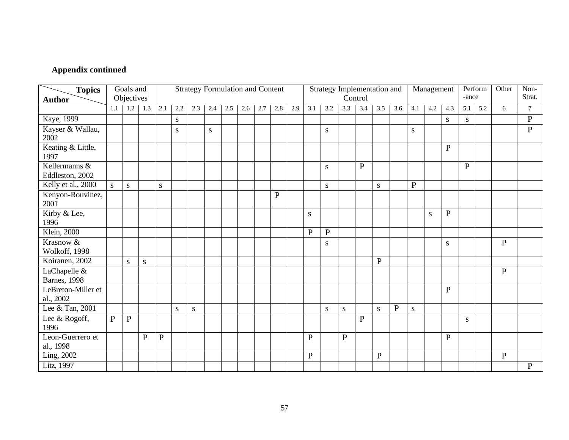| <b>Topics</b>                        |              | Goals and<br>Objectives |              |              |           |     | <b>Strategy Formulation and Content</b> |     |     |     |     |     |              | Strategy Implementation and |              | Control      |           |           |              | Management |              | -ance        | Perform | Other        | Non-<br>Strat. |
|--------------------------------------|--------------|-------------------------|--------------|--------------|-----------|-----|-----------------------------------------|-----|-----|-----|-----|-----|--------------|-----------------------------|--------------|--------------|-----------|-----------|--------------|------------|--------------|--------------|---------|--------------|----------------|
| <b>Author</b>                        |              |                         |              |              |           |     |                                         |     |     |     |     |     |              |                             |              |              |           |           |              |            |              |              |         |              |                |
|                                      | 1.1          | 1.2                     | 1.3          | 2.1          | 2.2       | 2.3 | 2.4                                     | 2.5 | 2.6 | 2.7 | 2.8 | 2.9 | 3.1          | 3.2                         | 3.3          | 3.4          | 3.5       | 3.6       | 4.1          | 4.2        | 4.3          | 5.1          | 5.2     | 6            | $\overline{7}$ |
| Kaye, 1999                           |              |                         |              |              | ${\bf S}$ |     |                                         |     |     |     |     |     |              |                             |              |              |           |           |              |            | ${\bf S}$    | S            |         |              | $\mathbf{P}$   |
| Kayser & Wallau,<br>2002             |              |                         |              |              | S         |     | ${\bf S}$                               |     |     |     |     |     |              | S                           |              |              |           |           | S            |            |              |              |         |              | $\, {\bf P}$   |
| Keating & Little,<br>1997            |              |                         |              |              |           |     |                                         |     |     |     |     |     |              |                             |              |              |           |           |              |            | P            |              |         |              |                |
| Kellermanns &<br>Eddleston, 2002     |              |                         |              |              |           |     |                                         |     |     |     |     |     |              | ${\bf S}$                   |              | ${\bf P}$    |           |           |              |            |              | $\mathbf{P}$ |         |              |                |
| Kelly et al., 2000                   | S            | ${\bf S}$               |              | ${\bf S}$    |           |     |                                         |     |     |     |     |     |              | S                           |              |              | S         |           | $\mathbf{P}$ |            |              |              |         |              |                |
| Kenyon-Rouvinez,<br>2001             |              |                         |              |              |           |     |                                         |     |     |     | P   |     |              |                             |              |              |           |           |              |            |              |              |         |              |                |
| Kirby & Lee,<br>1996                 |              |                         |              |              |           |     |                                         |     |     |     |     |     | S            |                             |              |              |           |           |              | S          | $\mathbf{P}$ |              |         |              |                |
| <b>Klein</b> , 2000                  |              |                         |              |              |           |     |                                         |     |     |     |     |     | $\mathbf{P}$ | $\mathbf{P}$                |              |              |           |           |              |            |              |              |         |              |                |
| Krasnow &<br>Wolkoff, 1998           |              |                         |              |              |           |     |                                         |     |     |     |     |     |              | S                           |              |              |           |           |              |            | S            |              |         | $\mathbf{P}$ |                |
| Koiranen, 2002                       |              | S                       | ${\bf S}$    |              |           |     |                                         |     |     |     |     |     |              |                             |              |              | ${\bf P}$ |           |              |            |              |              |         |              |                |
| LaChapelle &<br><b>Barnes</b> , 1998 |              |                         |              |              |           |     |                                         |     |     |     |     |     |              |                             |              |              |           |           |              |            |              |              |         | $\mathbf{P}$ |                |
| LeBreton-Miller et<br>al., 2002      |              |                         |              |              |           |     |                                         |     |     |     |     |     |              |                             |              |              |           |           |              |            | $\mathbf{P}$ |              |         |              |                |
| Lee & Tan, 2001                      |              |                         |              |              | S         | S   |                                         |     |     |     |     |     |              | S                           | S            |              | S         | ${\bf P}$ | S            |            |              |              |         |              |                |
| Lee & Rogoff,<br>1996                | $\mathbf{P}$ | $\mathbf{P}$            |              |              |           |     |                                         |     |     |     |     |     |              |                             |              | $\mathbf{P}$ |           |           |              |            |              | S            |         |              |                |
| Leon-Guerrero et<br>al., 1998        |              |                         | $\mathbf{P}$ | $\mathbf{P}$ |           |     |                                         |     |     |     |     |     | $\mathbf{P}$ |                             | $\mathbf{P}$ |              |           |           |              |            | $\mathbf{P}$ |              |         |              |                |
| Ling, 2002                           |              |                         |              |              |           |     |                                         |     |     |     |     |     | $\mathbf{P}$ |                             |              |              | ${\bf P}$ |           |              |            |              |              |         | $\mathbf P$  |                |
| Litz, 1997                           |              |                         |              |              |           |     |                                         |     |     |     |     |     |              |                             |              |              |           |           |              |            |              |              |         |              | $\mathbf{P}$   |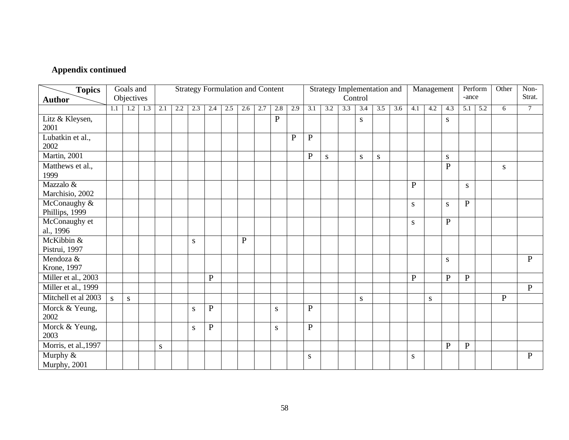| <b>Topics</b><br><b>Author</b> |     | Goals and<br>Objectives |     |           |     |           |              |     |              | <b>Strategy Formulation and Content</b> |              |              |                |     | Strategy Implementation and | Control   |           |     |              | Management |              | -ance        | Perform | Other        | Non-<br>Strat. |
|--------------------------------|-----|-------------------------|-----|-----------|-----|-----------|--------------|-----|--------------|-----------------------------------------|--------------|--------------|----------------|-----|-----------------------------|-----------|-----------|-----|--------------|------------|--------------|--------------|---------|--------------|----------------|
|                                | 1.1 | 1.2                     | 1.3 | 2.1       | 2.2 | 2.3       | 2.4          | 2.5 | 2.6          | 2.7                                     | 2.8          | 2.9          | 3.1            | 3.2 | 3.3                         | 3.4       | 3.5       | 3.6 | 4.1          | 4.2        | 4.3          | 5.1          | 5.2     | 6            | $\tau$         |
| Litz & Kleysen,<br>2001        |     |                         |     |           |     |           |              |     |              |                                         | $\mathbf{P}$ |              |                |     |                             | ${\bf S}$ |           |     |              |            | S            |              |         |              |                |
| Lubatkin et al.,<br>2002       |     |                         |     |           |     |           |              |     |              |                                         |              | $\mathbf{P}$ | ${\bf P}$      |     |                             |           |           |     |              |            |              |              |         |              |                |
| Martin, 2001                   |     |                         |     |           |     |           |              |     |              |                                         |              |              | $\mathbf{P}$   | S   |                             | S         | ${\bf S}$ |     |              |            | ${\bf S}$    |              |         |              |                |
| Matthews et al.,<br>1999       |     |                         |     |           |     |           |              |     |              |                                         |              |              |                |     |                             |           |           |     |              |            | $\mathbf{P}$ |              |         | S            |                |
| Mazzalo &<br>Marchisio, 2002   |     |                         |     |           |     |           |              |     |              |                                         |              |              |                |     |                             |           |           |     | P            |            |              | S            |         |              |                |
| McConaughy &<br>Phillips, 1999 |     |                         |     |           |     |           |              |     |              |                                         |              |              |                |     |                             |           |           |     | S            |            | ${\bf S}$    | $\mathbf{P}$ |         |              |                |
| McConaughy et<br>al., 1996     |     |                         |     |           |     |           |              |     |              |                                         |              |              |                |     |                             |           |           |     | ${\bf S}$    |            | $\mathbf P$  |              |         |              |                |
| McKibbin &<br>Pistrui, 1997    |     |                         |     |           |     | ${\bf S}$ |              |     | $\mathbf{P}$ |                                         |              |              |                |     |                             |           |           |     |              |            |              |              |         |              |                |
| Mendoza &<br>Krone, 1997       |     |                         |     |           |     |           |              |     |              |                                         |              |              |                |     |                             |           |           |     |              |            | ${\bf S}$    |              |         |              | $\mathbf{P}$   |
| Miller et al., 2003            |     |                         |     |           |     |           | $\mathbf{P}$ |     |              |                                         |              |              |                |     |                             |           |           |     | $\mathbf{P}$ |            | $\mathbf{P}$ | $\, {\bf P}$ |         |              |                |
| Miller et al., 1999            |     |                         |     |           |     |           |              |     |              |                                         |              |              |                |     |                             |           |           |     |              |            |              |              |         |              | $\mathbf{P}$   |
| Mitchell et al 2003            | S   | S                       |     |           |     |           |              |     |              |                                         |              |              |                |     |                             | S         |           |     |              | S          |              |              |         | $\mathbf{P}$ |                |
| Morck & Yeung,<br>2002         |     |                         |     |           |     | S         | $\mathbf{P}$ |     |              |                                         | S            |              | $\mathbf{P}$   |     |                             |           |           |     |              |            |              |              |         |              |                |
| Morck & Yeung,<br>2003         |     |                         |     |           |     | S         | $\mathbf{P}$ |     |              |                                         | S            |              | $\overline{P}$ |     |                             |           |           |     |              |            |              |              |         |              |                |
| Morris, et al., 1997           |     |                         |     | ${\bf S}$ |     |           |              |     |              |                                         |              |              |                |     |                             |           |           |     |              |            | $\mathbf{P}$ | $\mathbf{P}$ |         |              |                |
| Murphy &<br>Murphy, 2001       |     |                         |     |           |     |           |              |     |              |                                         |              |              | S              |     |                             |           |           |     | S            |            |              |              |         |              | $\mathbf{P}$   |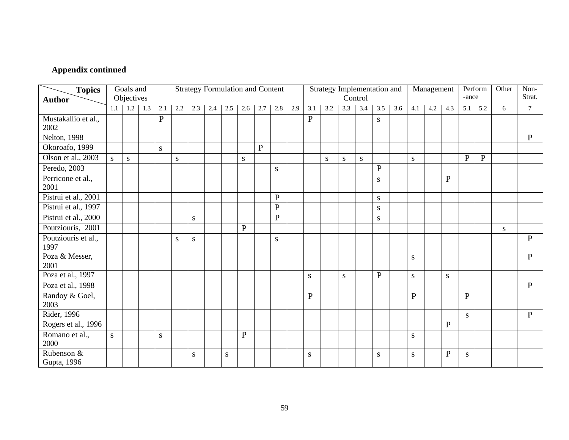| <b>Topics</b>               |     | Goals and  |     |                |     |           | <b>Strategy Formulation and Content</b> |     |              |              |              |     |              |           |           | Strategy Implementation and |              |     |              | Management |              |              | Perform      | Other | Non-         |
|-----------------------------|-----|------------|-----|----------------|-----|-----------|-----------------------------------------|-----|--------------|--------------|--------------|-----|--------------|-----------|-----------|-----------------------------|--------------|-----|--------------|------------|--------------|--------------|--------------|-------|--------------|
| <b>Author</b>               |     | Objectives |     |                |     |           |                                         |     |              |              |              |     |              |           |           | Control                     |              |     |              |            |              | -ance        |              |       | Strat.       |
|                             | 1.1 | 1.2        | 1.3 | 2.1            | 2.2 | 2.3       | 2.4                                     | 2.5 | 2.6          | 2.7          | 2.8          | 2.9 | 3.1          | 3.2       | 3.3       | 3.4                         | 3.5          | 3.6 | 4.1          | 4.2        | 4.3          | 5.1          | 5.2          | 6     | $\tau$       |
| Mustakallio et al.,<br>2002 |     |            |     | $\overline{P}$ |     |           |                                         |     |              |              |              |     | $\mathbf{P}$ |           |           |                             | S            |     |              |            |              |              |              |       |              |
| Nelton, $\overline{1998}$   |     |            |     |                |     |           |                                         |     |              |              |              |     |              |           |           |                             |              |     |              |            |              |              |              |       | $\mathbf{P}$ |
| Okoroafo, 1999              |     |            |     | ${\bf S}$      |     |           |                                         |     |              | $\mathbf{P}$ |              |     |              |           |           |                             |              |     |              |            |              |              |              |       |              |
| Olson et al., 2003          | S.  | ${\bf S}$  |     |                | S   |           |                                         |     | ${\bf S}$    |              |              |     |              | ${\bf S}$ | S         | ${\bf S}$                   |              |     | S            |            |              | $\mathbf{P}$ | $\mathbf{P}$ |       |              |
| Peredo, 2003                |     |            |     |                |     |           |                                         |     |              |              | S            |     |              |           |           |                             | $\mathbf{P}$ |     |              |            |              |              |              |       |              |
| Perricone et al.,<br>2001   |     |            |     |                |     |           |                                         |     |              |              |              |     |              |           |           |                             | S            |     |              |            | $\mathbf{P}$ |              |              |       |              |
| Pistrui et al., 2001        |     |            |     |                |     |           |                                         |     |              |              | $\mathbf{P}$ |     |              |           |           |                             | S            |     |              |            |              |              |              |       |              |
| Pistrui et al., 1997        |     |            |     |                |     |           |                                         |     |              |              | $\mathbf{P}$ |     |              |           |           |                             | S            |     |              |            |              |              |              |       |              |
| Pistrui et al., 2000        |     |            |     |                |     | ${\bf S}$ |                                         |     |              |              | $\mathbf P$  |     |              |           |           |                             | S            |     |              |            |              |              |              |       |              |
| Poutziouris, 2001           |     |            |     |                |     |           |                                         |     | $\mathbf{P}$ |              |              |     |              |           |           |                             |              |     |              |            |              |              |              | S     |              |
| Poutziouris et al.,<br>1997 |     |            |     |                | S   | ${\bf S}$ |                                         |     |              |              | ${\bf S}$    |     |              |           |           |                             |              |     |              |            |              |              |              |       | $\mathbf{P}$ |
| Poza & Messer,<br>2001      |     |            |     |                |     |           |                                         |     |              |              |              |     |              |           |           |                             |              |     | S            |            |              |              |              |       | $\mathbf{P}$ |
| Poza et al., 1997           |     |            |     |                |     |           |                                         |     |              |              |              |     | ${\bf S}$    |           | ${\bf S}$ |                             | $\mathbf{P}$ |     | ${\bf S}$    |            | ${\bf S}$    |              |              |       |              |
| Poza et al., 1998           |     |            |     |                |     |           |                                         |     |              |              |              |     |              |           |           |                             |              |     |              |            |              |              |              |       | $\mathbf{P}$ |
| Randoy & Goel,<br>2003      |     |            |     |                |     |           |                                         |     |              |              |              |     | ${\bf P}$    |           |           |                             |              |     | $\mathbf{P}$ |            |              | $\mathbf{P}$ |              |       |              |
| Rider, 1996                 |     |            |     |                |     |           |                                         |     |              |              |              |     |              |           |           |                             |              |     |              |            |              | <sub>S</sub> |              |       | $\mathbf{P}$ |
| Rogers et al., 1996         |     |            |     |                |     |           |                                         |     |              |              |              |     |              |           |           |                             |              |     |              |            | $\mathbf{P}$ |              |              |       |              |
| Romano et al.,<br>2000      | S.  |            |     | S              |     |           |                                         |     | ${\bf P}$    |              |              |     |              |           |           |                             |              |     | S            |            |              |              |              |       |              |
| Rubenson &<br>Gupta, 1996   |     |            |     |                |     | S         |                                         | S   |              |              |              |     | S            |           |           |                             | S            |     | S            |            | $\mathbf{P}$ | S            |              |       |              |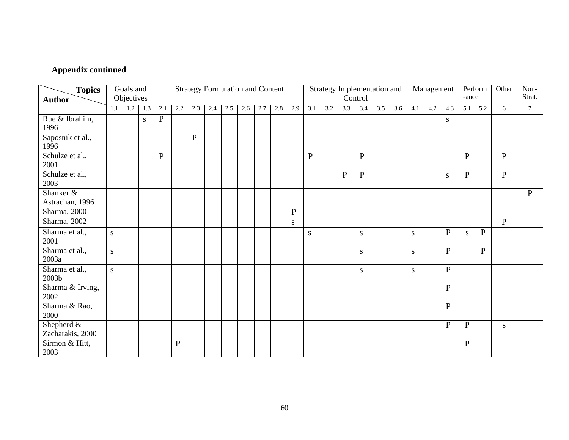| <b>Topics</b><br><b>Author</b>               |     | Goals and<br>Objectives |             |              |              | <b>Strategy Formulation and Content</b> |     |     |     |     |     |              |           |     |              | Strategy Implementation and<br>Control |     |     |     | Management |              | -ance        | Perform      | Other        | Non-<br>Strat. |
|----------------------------------------------|-----|-------------------------|-------------|--------------|--------------|-----------------------------------------|-----|-----|-----|-----|-----|--------------|-----------|-----|--------------|----------------------------------------|-----|-----|-----|------------|--------------|--------------|--------------|--------------|----------------|
|                                              | 1.1 |                         | $1.2$   1.3 | 2.1          | 2.2          | 2.3                                     | 2.4 | 2.5 | 2.6 | 2.7 | 2.8 | 2.9          | 3.1       | 3.2 | 3.3          | 3.4                                    | 3.5 | 3.6 | 4.1 | 4.2        | 4.3          | 5.1          | 5.2          | 6            | $\overline{7}$ |
|                                              |     |                         |             |              |              |                                         |     |     |     |     |     |              |           |     |              |                                        |     |     |     |            |              |              |              |              |                |
| Rue & Ibrahim,<br>1996                       |     |                         | S           | ${\bf P}$    |              |                                         |     |     |     |     |     |              |           |     |              |                                        |     |     |     |            | S            |              |              |              |                |
| Saposnik et al.,<br>1996                     |     |                         |             |              |              | $\mathbf{P}$                            |     |     |     |     |     |              |           |     |              |                                        |     |     |     |            |              |              |              |              |                |
| Schulze et al.,<br>2001                      |     |                         |             | $\mathbf{P}$ |              |                                         |     |     |     |     |     |              | P         |     |              | $\mathbf{P}$                           |     |     |     |            |              | $\mathbf{P}$ |              | $\mathbf{P}$ |                |
| Schulze et al.,<br>2003                      |     |                         |             |              |              |                                         |     |     |     |     |     |              |           |     | $\mathbf{P}$ | ${\bf P}$                              |     |     |     |            | ${\bf S}$    | $\mathbf{P}$ |              | $\mathbf{P}$ |                |
| Shanker &<br>Astrachan, 1996                 |     |                         |             |              |              |                                         |     |     |     |     |     |              |           |     |              |                                        |     |     |     |            |              |              |              |              | $\mathbf{P}$   |
| Sharma, 2000                                 |     |                         |             |              |              |                                         |     |     |     |     |     | $\mathbf{P}$ |           |     |              |                                        |     |     |     |            |              |              |              |              |                |
| Sharma, 2002                                 |     |                         |             |              |              |                                         |     |     |     |     |     | S            |           |     |              |                                        |     |     |     |            |              |              |              | $\, {\bf P}$ |                |
| Sharma et al.,<br>2001                       | S   |                         |             |              |              |                                         |     |     |     |     |     |              | ${\bf S}$ |     |              | S                                      |     |     | S   |            | $\mathbf{P}$ | S            | $\mathbf{P}$ |              |                |
| Sharma et al.,<br>2003a                      | S   |                         |             |              |              |                                         |     |     |     |     |     |              |           |     |              | ${\bf S}$                              |     |     | S   |            | $\mathbf{P}$ |              | $\mathbf{P}$ |              |                |
| Sharma et al.,<br>2003b                      | S.  |                         |             |              |              |                                         |     |     |     |     |     |              |           |     |              | S                                      |     |     | S   |            | $\mathbf{P}$ |              |              |              |                |
| Sharma & Irving,<br>2002                     |     |                         |             |              |              |                                         |     |     |     |     |     |              |           |     |              |                                        |     |     |     |            | $\mathbf{P}$ |              |              |              |                |
| Sharma & Rao,<br>2000                        |     |                         |             |              |              |                                         |     |     |     |     |     |              |           |     |              |                                        |     |     |     |            | $\mathbf{P}$ |              |              |              |                |
| Shepherd $\overline{\&}$<br>Zacharakis, 2000 |     |                         |             |              |              |                                         |     |     |     |     |     |              |           |     |              |                                        |     |     |     |            | P            | $\mathbf{P}$ |              | S            |                |
| Sirmon & Hitt,<br>2003                       |     |                         |             |              | $\mathbf{P}$ |                                         |     |     |     |     |     |              |           |     |              |                                        |     |     |     |            |              | $\mathbf{P}$ |              |              |                |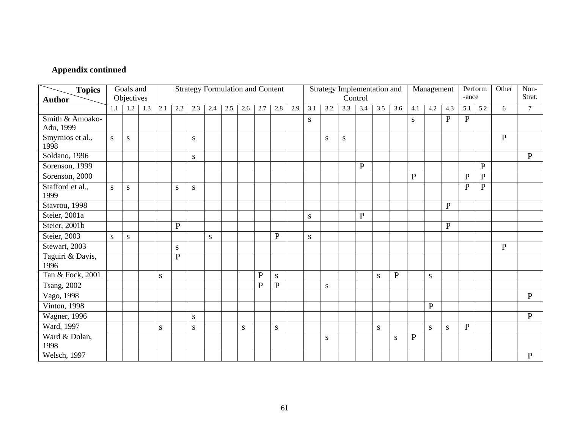| <b>Topics</b><br><b>Author</b> |              | Goals and<br>Objectives |     |     |                |           | <b>Strategy Formulation and Content</b> |     |           |              |              |     |           |     | Strategy Implementation and | Control      |           |             |              | Management  |              | -ance          | Perform      | Other        | Non-<br>Strat. |
|--------------------------------|--------------|-------------------------|-----|-----|----------------|-----------|-----------------------------------------|-----|-----------|--------------|--------------|-----|-----------|-----|-----------------------------|--------------|-----------|-------------|--------------|-------------|--------------|----------------|--------------|--------------|----------------|
|                                | 1.1          | 1.2                     | 1.3 | 2.1 | 2.2            | 2.3       | 2.4                                     | 2.5 | 2.6       | 2.7          | 2.8          | 2.9 | 3.1       | 3.2 | 3.3                         | 3.4          | 3.5       | 3.6         | 4.1          | 4.2         | 4.3          | 5.1            | 5.2          | 6            | $\tau$         |
| Smith & Amoako-<br>Adu, 1999   |              |                         |     |     |                |           |                                         |     |           |              |              |     | S         |     |                             |              |           |             | S            |             | $\mathbf{P}$ | $\mathbf{P}$   |              |              |                |
| Smyrnios et al.,<br>1998       | <sub>S</sub> | S                       |     |     |                | S         |                                         |     |           |              |              |     |           | S   | S                           |              |           |             |              |             |              |                |              | $\mathbf{P}$ |                |
| Soldano, 1996                  |              |                         |     |     |                | S         |                                         |     |           |              |              |     |           |     |                             |              |           |             |              |             |              |                |              |              | $\mathbf{P}$   |
| Sorenson, 1999                 |              |                         |     |     |                |           |                                         |     |           |              |              |     |           |     |                             | ${\bf P}$    |           |             |              |             |              |                | $\mathbf{P}$ |              |                |
| Sorenson, 2000                 |              |                         |     |     |                |           |                                         |     |           |              |              |     |           |     |                             |              |           |             | $\mathbf{P}$ |             |              | P              | $\, {\bf P}$ |              |                |
| Stafford et al.,<br>1999       | S            | S                       |     |     | S              | S         |                                         |     |           |              |              |     |           |     |                             |              |           |             |              |             |              | $\overline{P}$ | $\, {\bf P}$ |              |                |
| Stavrou, 1998                  |              |                         |     |     |                |           |                                         |     |           |              |              |     |           |     |                             |              |           |             |              |             | $\mathbf{P}$ |                |              |              |                |
| Steier, 2001a                  |              |                         |     |     |                |           |                                         |     |           |              |              |     | ${\bf S}$ |     |                             | $\mathbf{P}$ |           |             |              |             |              |                |              |              |                |
| Steier, 2001b                  |              |                         |     |     | $\mathbf{P}$   |           |                                         |     |           |              |              |     |           |     |                             |              |           |             |              |             | $\mathbf{P}$ |                |              |              |                |
| Steier, 2003                   | ${\bf S}$    | S                       |     |     |                |           | S                                       |     |           |              | $\mathbf{P}$ |     | S         |     |                             |              |           |             |              |             |              |                |              |              |                |
| Stewart, 2003                  |              |                         |     |     | S              |           |                                         |     |           |              |              |     |           |     |                             |              |           |             |              |             |              |                |              | $\mathbf{P}$ |                |
| Taguiri & Davis,<br>1996       |              |                         |     |     | $\overline{P}$ |           |                                         |     |           |              |              |     |           |     |                             |              |           |             |              |             |              |                |              |              |                |
| Tan & Fock, 2001               |              |                         |     | S   |                |           |                                         |     |           | $\mathbf P$  | ${\bf S}$    |     |           |     |                             |              | S         | $\mathbf P$ |              | S           |              |                |              |              |                |
| <b>Tsang</b> , 2002            |              |                         |     |     |                |           |                                         |     |           | $\mathbf{P}$ | $\mathbf{P}$ |     |           | S   |                             |              |           |             |              |             |              |                |              |              |                |
| Vago, 1998                     |              |                         |     |     |                |           |                                         |     |           |              |              |     |           |     |                             |              |           |             |              |             |              |                |              |              | $\mathbf{P}$   |
| Vinton, 1998                   |              |                         |     |     |                |           |                                         |     |           |              |              |     |           |     |                             |              |           |             |              | $\mathbf P$ |              |                |              |              |                |
| <b>Wagner</b> , 1996           |              |                         |     |     |                | S         |                                         |     |           |              |              |     |           |     |                             |              |           |             |              |             |              |                |              |              | $\mathbf{P}$   |
| Ward, 1997                     |              |                         |     | S   |                | ${\bf S}$ |                                         |     | ${\bf S}$ |              | ${\bf S}$    |     |           |     |                             |              | ${\bf S}$ |             |              | S           | ${\bf S}$    | $\mathbf{P}$   |              |              |                |
| Ward & Dolan,<br>1998          |              |                         |     |     |                |           |                                         |     |           |              |              |     |           | S   |                             |              |           | S           | $\mathbf{P}$ |             |              |                |              |              |                |
| Welsch, 1997                   |              |                         |     |     |                |           |                                         |     |           |              |              |     |           |     |                             |              |           |             |              |             |              |                |              |              | $\mathbf{P}$   |